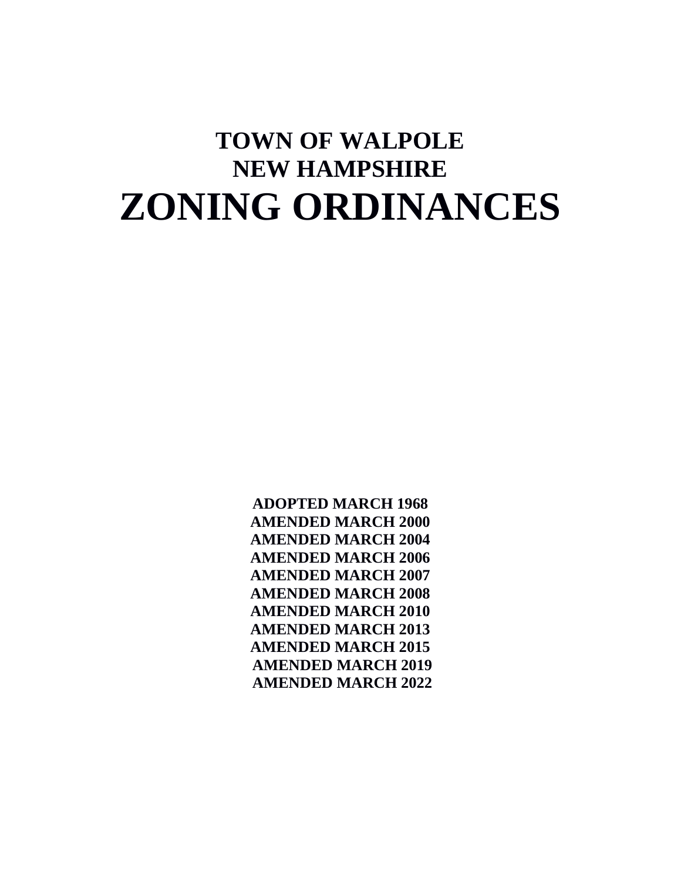# **TOWN OF WALPOLE NEW HAMPSHIRE ZONING ORDINANCES**

**ADOPTED MARCH 1968 AMENDED MARCH 2000 AMENDED MARCH 2004 AMENDED MARCH 2006 AMENDED MARCH 2007 AMENDED MARCH 2008 AMENDED MARCH 2010 AMENDED MARCH 2013 AMENDED MARCH 2015 AMENDED MARCH 2019 AMENDED MARCH 2022**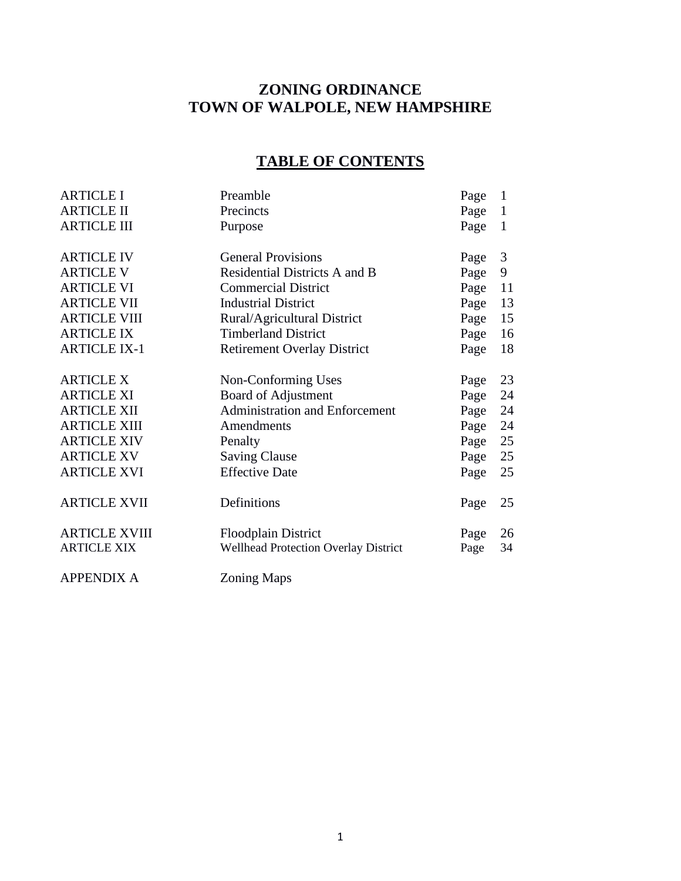# **ZONING ORDINANCE TOWN OF WALPOLE, NEW HAMPSHIRE**

# **TABLE OF CONTENTS**

| <b>ARTICLE I</b>     | Preamble                                    | Page | $\mathbf{1}$   |
|----------------------|---------------------------------------------|------|----------------|
| <b>ARTICLE II</b>    | Precincts                                   | Page | $\mathbf{1}$   |
| <b>ARTICLE III</b>   | Purpose                                     | Page | $\mathbf{1}$   |
| <b>ARTICLE IV</b>    | <b>General Provisions</b>                   | Page | $\mathfrak{Z}$ |
| <b>ARTICLE V</b>     | Residential Districts A and B               | Page | 9              |
| <b>ARTICLE VI</b>    | <b>Commercial District</b>                  | Page | 11             |
| <b>ARTICLE VII</b>   | <b>Industrial District</b>                  | Page | 13             |
| <b>ARTICLE VIII</b>  | Rural/Agricultural District                 | Page | 15             |
| <b>ARTICLE IX</b>    | <b>Timberland District</b>                  | Page | 16             |
| <b>ARTICLE IX-1</b>  | <b>Retirement Overlay District</b>          | Page | 18             |
| <b>ARTICLE X</b>     | Non-Conforming Uses                         | Page | 23             |
| <b>ARTICLE XI</b>    | Board of Adjustment                         | Page | 24             |
| <b>ARTICLE XII</b>   | <b>Administration and Enforcement</b>       | Page | 24             |
| <b>ARTICLE XIII</b>  | Amendments                                  | Page | 24             |
| <b>ARTICLE XIV</b>   | Penalty                                     | Page | 25             |
| <b>ARTICLE XV</b>    | <b>Saving Clause</b>                        | Page | 25             |
| <b>ARTICLE XVI</b>   | <b>Effective Date</b>                       | Page | 25             |
| <b>ARTICLE XVII</b>  | Definitions                                 | Page | 25             |
| <b>ARTICLE XVIII</b> | <b>Floodplain District</b>                  | Page | 26             |
| <b>ARTICLE XIX</b>   | <b>Wellhead Protection Overlay District</b> | Page | 34             |
|                      |                                             |      |                |

APPENDIX A Zoning Maps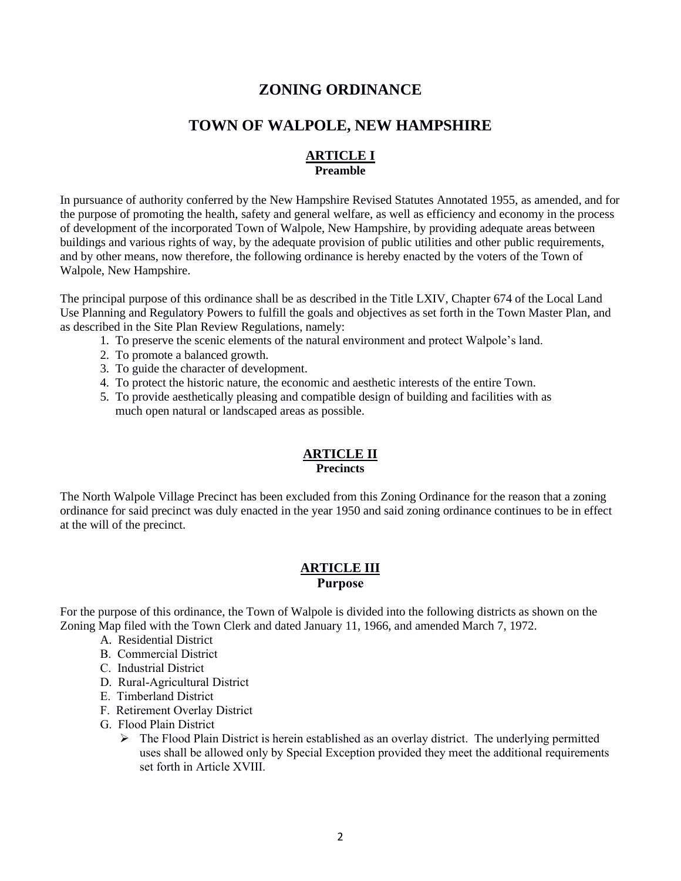# **ZONING ORDINANCE**

# **TOWN OF WALPOLE, NEW HAMPSHIRE**

# **ARTICLE I Preamble**

In pursuance of authority conferred by the New Hampshire Revised Statutes Annotated 1955, as amended, and for the purpose of promoting the health, safety and general welfare, as well as efficiency and economy in the process of development of the incorporated Town of Walpole, New Hampshire, by providing adequate areas between buildings and various rights of way, by the adequate provision of public utilities and other public requirements, and by other means, now therefore, the following ordinance is hereby enacted by the voters of the Town of Walpole, New Hampshire.

The principal purpose of this ordinance shall be as described in the Title LXIV, Chapter 674 of the Local Land Use Planning and Regulatory Powers to fulfill the goals and objectives as set forth in the Town Master Plan, and as described in the Site Plan Review Regulations, namely:

- 1. To preserve the scenic elements of the natural environment and protect Walpole's land.
- 2. To promote a balanced growth.
- 3. To guide the character of development.
- 4. To protect the historic nature, the economic and aesthetic interests of the entire Town.
- 5. To provide aesthetically pleasing and compatible design of building and facilities with as much open natural or landscaped areas as possible.

# **ARTICLE II Precincts**

The North Walpole Village Precinct has been excluded from this Zoning Ordinance for the reason that a zoning ordinance for said precinct was duly enacted in the year 1950 and said zoning ordinance continues to be in effect at the will of the precinct.

# **ARTICLE III Purpose**

For the purpose of this ordinance, the Town of Walpole is divided into the following districts as shown on the Zoning Map filed with the Town Clerk and dated January 11, 1966, and amended March 7, 1972.

- A. Residential District
- B. Commercial District
- C. Industrial District
- D. Rural-Agricultural District
- E. Timberland District
- F. Retirement Overlay District
- G. Flood Plain District
	- $\triangleright$  The Flood Plain District is herein established as an overlay district. The underlying permitted uses shall be allowed only by Special Exception provided they meet the additional requirements set forth in Article XVIII.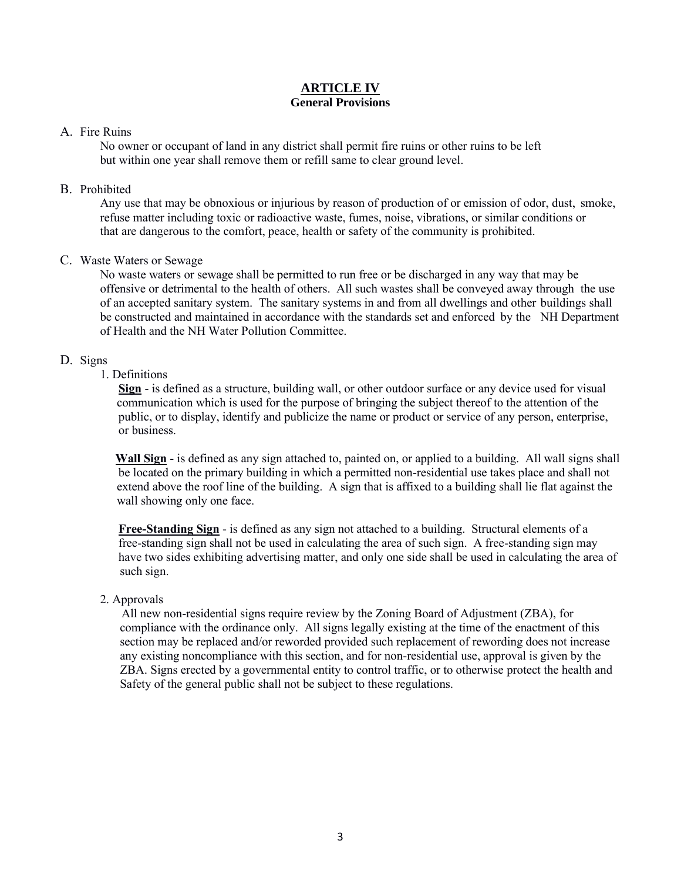# **ARTICLE IV General Provisions**

# A. Fire Ruins

No owner or occupant of land in any district shall permit fire ruins or other ruins to be left but within one year shall remove them or refill same to clear ground level.

# B. Prohibited

Any use that may be obnoxious or injurious by reason of production of or emission of odor, dust, smoke, refuse matter including toxic or radioactive waste, fumes, noise, vibrations, or similar conditions or that are dangerous to the comfort, peace, health or safety of the community is prohibited.

# C. Waste Waters or Sewage

No waste waters or sewage shall be permitted to run free or be discharged in any way that may be offensive or detrimental to the health of others. All such wastes shall be conveyed away through the use of an accepted sanitary system. The sanitary systems in and from all dwellings and other buildings shall be constructed and maintained in accordance with the standards set and enforced by the NH Department of Health and the NH Water Pollution Committee.

# D. Signs

# 1. Definitions

 **Sign** - is defined as a structure, building wall, or other outdoor surface or any device used for visual communication which is used for the purpose of bringing the subject thereof to the attention of the public, or to display, identify and publicize the name or product or service of any person, enterprise, or business.

 **Wall Sign** - is defined as any sign attached to, painted on, or applied to a building. All wall signs shall be located on the primary building in which a permitted non-residential use takes place and shall not extend above the roof line of the building. A sign that is affixed to a building shall lie flat against the wall showing only one face.

 **Free-Standing Sign** - is defined as any sign not attached to a building. Structural elements of a free-standing sign shall not be used in calculating the area of such sign. A free-standing sign may have two sides exhibiting advertising matter, and only one side shall be used in calculating the area of such sign.

# 2. Approvals

 All new non-residential signs require review by the Zoning Board of Adjustment (ZBA), for compliance with the ordinance only. All signs legally existing at the time of the enactment of this section may be replaced and/or reworded provided such replacement of rewording does not increase any existing noncompliance with this section, and for non-residential use, approval is given by the ZBA. Signs erected by a governmental entity to control traffic, or to otherwise protect the health and Safety of the general public shall not be subject to these regulations.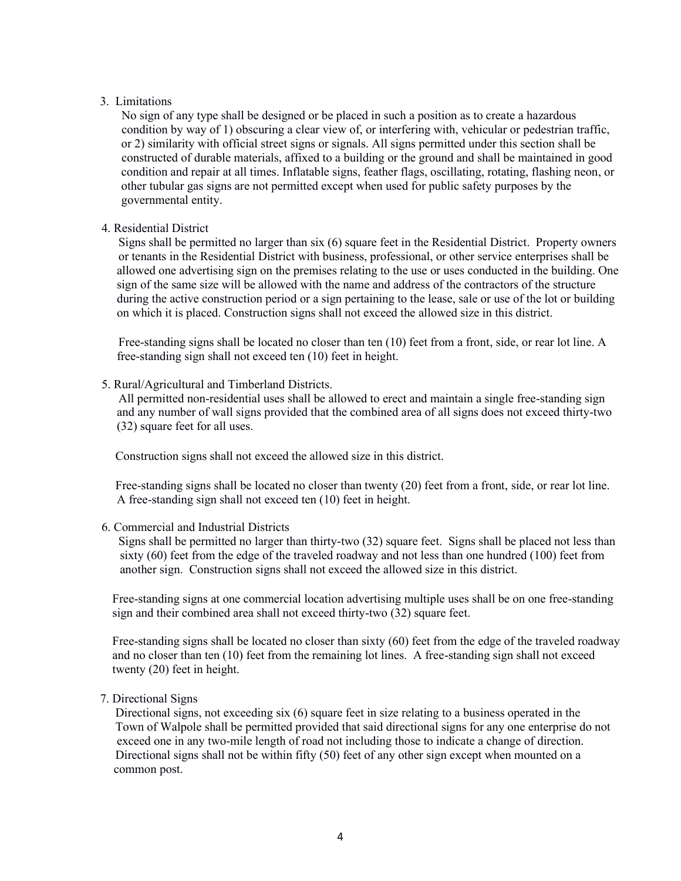### 3. Limitations

 No sign of any type shall be designed or be placed in such a position as to create a hazardous condition by way of 1) obscuring a clear view of, or interfering with, vehicular or pedestrian traffic, or 2) similarity with official street signs or signals. All signs permitted under this section shall be constructed of durable materials, affixed to a building or the ground and shall be maintained in good condition and repair at all times. Inflatable signs, feather flags, oscillating, rotating, flashing neon, or other tubular gas signs are not permitted except when used for public safety purposes by the governmental entity.

### 4. Residential District

 Signs shall be permitted no larger than six (6) square feet in the Residential District. Property owners or tenants in the Residential District with business, professional, or other service enterprises shall be allowed one advertising sign on the premises relating to the use or uses conducted in the building. One sign of the same size will be allowed with the name and address of the contractors of the structure during the active construction period or a sign pertaining to the lease, sale or use of the lot or building on which it is placed. Construction signs shall not exceed the allowed size in this district.

 Free-standing signs shall be located no closer than ten (10) feet from a front, side, or rear lot line. A free-standing sign shall not exceed ten (10) feet in height.

### 5. Rural/Agricultural and Timberland Districts.

 All permitted non-residential uses shall be allowed to erect and maintain a single free-standing sign and any number of wall signs provided that the combined area of all signs does not exceed thirty-two (32) square feet for all uses.

Construction signs shall not exceed the allowed size in this district.

 Free-standing signs shall be located no closer than twenty (20) feet from a front, side, or rear lot line. A free-standing sign shall not exceed ten (10) feet in height.

### 6. Commercial and Industrial Districts

 Signs shall be permitted no larger than thirty-two (32) square feet. Signs shall be placed not less than sixty (60) feet from the edge of the traveled roadway and not less than one hundred (100) feet from another sign. Construction signs shall not exceed the allowed size in this district.

 Free-standing signs at one commercial location advertising multiple uses shall be on one free-standing sign and their combined area shall not exceed thirty-two (32) square feet.

 Free-standing signs shall be located no closer than sixty (60) feet from the edge of the traveled roadway and no closer than ten (10) feet from the remaining lot lines. A free-standing sign shall not exceed twenty (20) feet in height.

# 7. Directional Signs

 Directional signs, not exceeding six (6) square feet in size relating to a business operated in the Town of Walpole shall be permitted provided that said directional signs for any one enterprise do not exceed one in any two-mile length of road not including those to indicate a change of direction. Directional signs shall not be within fifty (50) feet of any other sign except when mounted on a common post.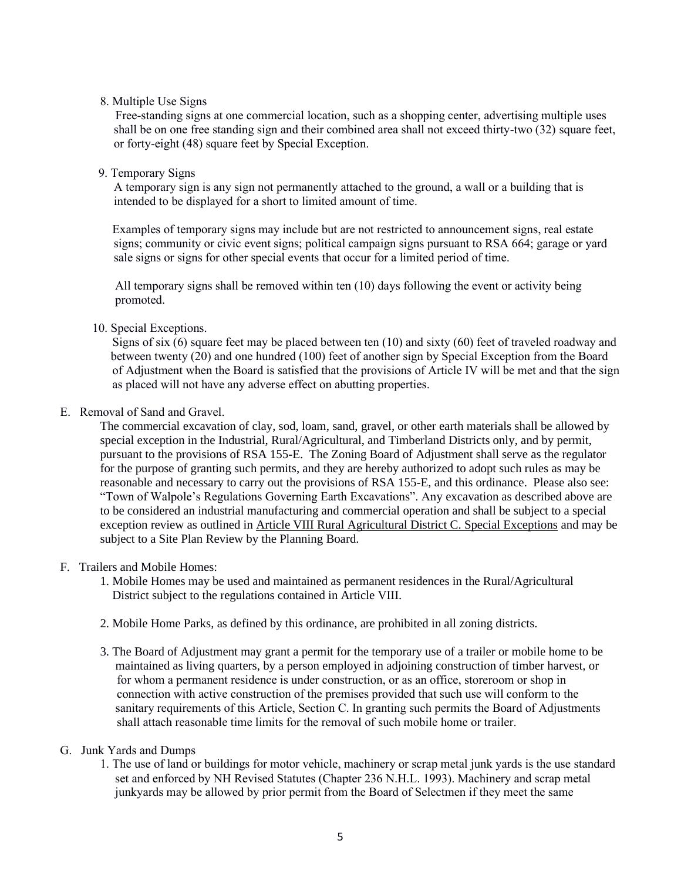### 8. Multiple Use Signs

 Free-standing signs at one commercial location, such as a shopping center, advertising multiple uses shall be on one free standing sign and their combined area shall not exceed thirty-two (32) square feet, or forty-eight (48) square feet by Special Exception.

9. Temporary Signs

 A temporary sign is any sign not permanently attached to the ground, a wall or a building that is intended to be displayed for a short to limited amount of time.

 Examples of temporary signs may include but are not restricted to announcement signs, real estate signs; community or civic event signs; political campaign signs pursuant to RSA 664; garage or yard sale signs or signs for other special events that occur for a limited period of time.

All temporary signs shall be removed within ten (10) days following the event or activity being promoted.

10. Special Exceptions.

 Signs of six (6) square feet may be placed between ten (10) and sixty (60) feet of traveled roadway and between twenty (20) and one hundred (100) feet of another sign by Special Exception from the Board of Adjustment when the Board is satisfied that the provisions of Article IV will be met and that the sign as placed will not have any adverse effect on abutting properties.

### E. Removal of Sand and Gravel.

The commercial excavation of clay, sod, loam, sand, gravel, or other earth materials shall be allowed by special exception in the Industrial, Rural/Agricultural, and Timberland Districts only, and by permit, pursuant to the provisions of RSA 155-E. The Zoning Board of Adjustment shall serve as the regulator for the purpose of granting such permits, and they are hereby authorized to adopt such rules as may be reasonable and necessary to carry out the provisions of RSA 155-E, and this ordinance. Please also see: "Town of Walpole's Regulations Governing Earth Excavations". Any excavation as described above are to be considered an industrial manufacturing and commercial operation and shall be subject to a special exception review as outlined in Article VIII Rural Agricultural District C. Special Exceptions and may be subject to a Site Plan Review by the Planning Board.

# F. Trailers and Mobile Homes:

- 1. Mobile Homes may be used and maintained as permanent residences in the Rural/Agricultural District subject to the regulations contained in Article VIII.
- 2. Mobile Home Parks, as defined by this ordinance, are prohibited in all zoning districts.
- 3. The Board of Adjustment may grant a permit for the temporary use of a trailer or mobile home to be maintained as living quarters, by a person employed in adjoining construction of timber harvest, or for whom a permanent residence is under construction, or as an office, storeroom or shop in connection with active construction of the premises provided that such use will conform to the sanitary requirements of this Article, Section C. In granting such permits the Board of Adjustments shall attach reasonable time limits for the removal of such mobile home or trailer.
- G. Junk Yards and Dumps
	- 1. The use of land or buildings for motor vehicle, machinery or scrap metal junk yards is the use standard set and enforced by NH Revised Statutes (Chapter 236 N.H.L. 1993). Machinery and scrap metal junkyards may be allowed by prior permit from the Board of Selectmen if they meet the same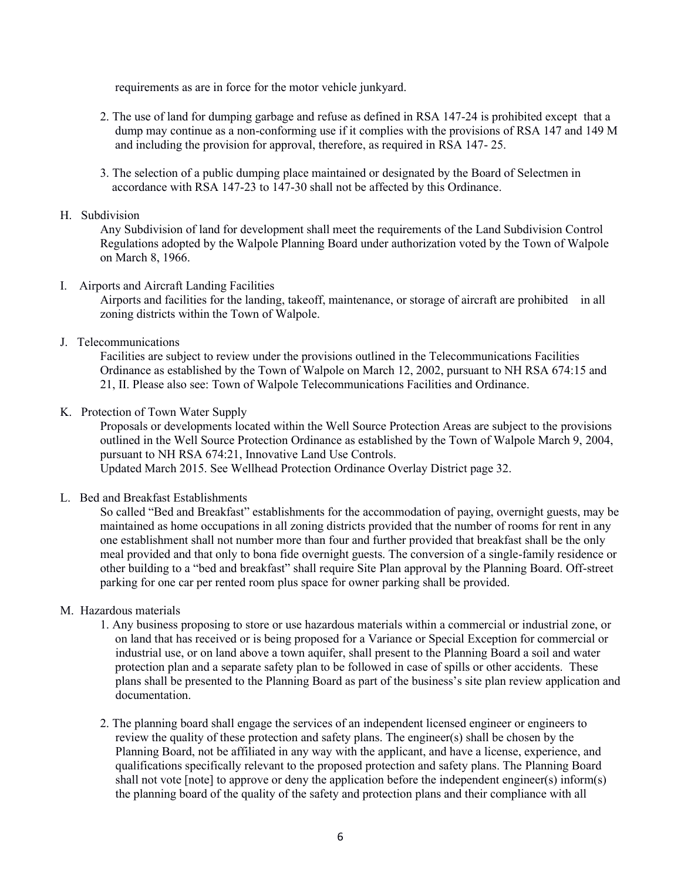requirements as are in force for the motor vehicle junkyard.

- 2. The use of land for dumping garbage and refuse as defined in RSA 147-24 is prohibited except that a dump may continue as a non-conforming use if it complies with the provisions of RSA 147 and 149 M and including the provision for approval, therefore, as required in RSA 147- 25.
- 3. The selection of a public dumping place maintained or designated by the Board of Selectmen in accordance with RSA 147-23 to 147-30 shall not be affected by this Ordinance.

### H. Subdivision

Any Subdivision of land for development shall meet the requirements of the Land Subdivision Control Regulations adopted by the Walpole Planning Board under authorization voted by the Town of Walpole on March 8, 1966.

I. Airports and Aircraft Landing Facilities

Airports and facilities for the landing, takeoff, maintenance, or storage of aircraft are prohibited in all zoning districts within the Town of Walpole.

J. Telecommunications

Facilities are subject to review under the provisions outlined in the Telecommunications Facilities Ordinance as established by the Town of Walpole on March 12, 2002, pursuant to NH RSA 674:15 and 21, II. Please also see: Town of Walpole Telecommunications Facilities and Ordinance.

K. Protection of Town Water Supply

Proposals or developments located within the Well Source Protection Areas are subject to the provisions outlined in the Well Source Protection Ordinance as established by the Town of Walpole March 9, 2004, pursuant to NH RSA 674:21, Innovative Land Use Controls.

Updated March 2015. See Wellhead Protection Ordinance Overlay District page 32.

L. Bed and Breakfast Establishments

So called "Bed and Breakfast" establishments for the accommodation of paying, overnight guests, may be maintained as home occupations in all zoning districts provided that the number of rooms for rent in any one establishment shall not number more than four and further provided that breakfast shall be the only meal provided and that only to bona fide overnight guests. The conversion of a single-family residence or other building to a "bed and breakfast" shall require Site Plan approval by the Planning Board. Off-street parking for one car per rented room plus space for owner parking shall be provided.

# M. Hazardous materials

- 1. Any business proposing to store or use hazardous materials within a commercial or industrial zone, or on land that has received or is being proposed for a Variance or Special Exception for commercial or industrial use, or on land above a town aquifer, shall present to the Planning Board a soil and water protection plan and a separate safety plan to be followed in case of spills or other accidents. These plans shall be presented to the Planning Board as part of the business's site plan review application and documentation.
- 2. The planning board shall engage the services of an independent licensed engineer or engineers to review the quality of these protection and safety plans. The engineer(s) shall be chosen by the Planning Board, not be affiliated in any way with the applicant, and have a license, experience, and qualifications specifically relevant to the proposed protection and safety plans. The Planning Board shall not vote [note] to approve or deny the application before the independent engineer(s) inform(s) the planning board of the quality of the safety and protection plans and their compliance with all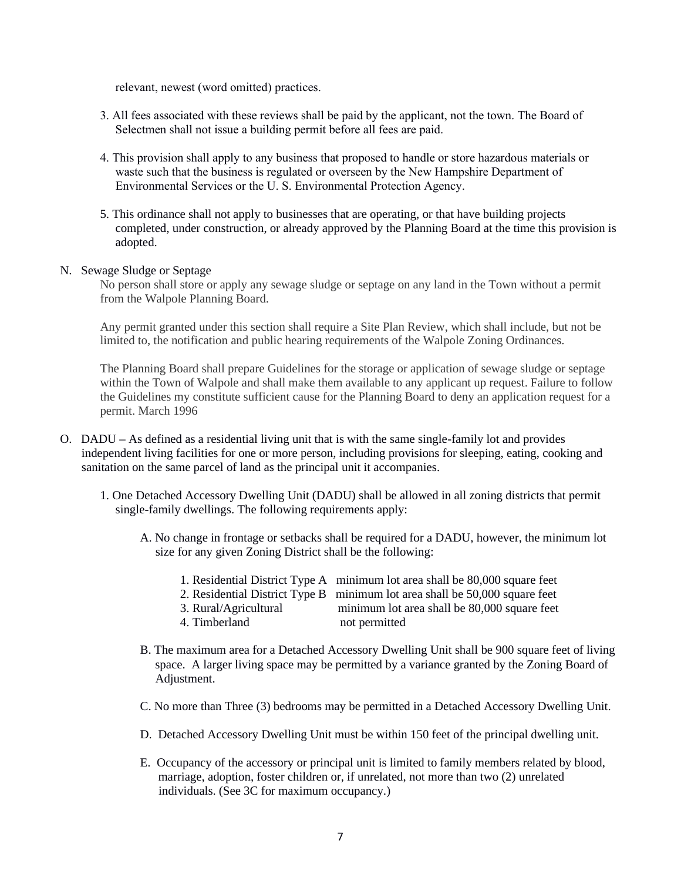relevant, newest (word omitted) practices.

- 3. All fees associated with these reviews shall be paid by the applicant, not the town. The Board of Selectmen shall not issue a building permit before all fees are paid.
- 4. This provision shall apply to any business that proposed to handle or store hazardous materials or waste such that the business is regulated or overseen by the New Hampshire Department of Environmental Services or the U. S. Environmental Protection Agency.
- 5. This ordinance shall not apply to businesses that are operating, or that have building projects completed, under construction, or already approved by the Planning Board at the time this provision is adopted.

### N. Sewage Sludge or Septage

No person shall store or apply any sewage sludge or septage on any land in the Town without a permit from the Walpole Planning Board.

Any permit granted under this section shall require a Site Plan Review, which shall include, but not be limited to, the notification and public hearing requirements of the Walpole Zoning Ordinances.

The Planning Board shall prepare Guidelines for the storage or application of sewage sludge or septage within the Town of Walpole and shall make them available to any applicant up request. Failure to follow the Guidelines my constitute sufficient cause for the Planning Board to deny an application request for a permit. March 1996

- O. DADU **–** As defined as a residential living unit that is with the same single-family lot and provides independent living facilities for one or more person, including provisions for sleeping, eating, cooking and sanitation on the same parcel of land as the principal unit it accompanies.
	- 1. One Detached Accessory Dwelling Unit (DADU) shall be allowed in all zoning districts that permit single-family dwellings. The following requirements apply:
		- A. No change in frontage or setbacks shall be required for a DADU, however, the minimum lot size for any given Zoning District shall be the following:
			- 1. Residential District Type A minimum lot area shall be 80,000 square feet
			- 2. Residential District Type B minimum lot area shall be 50,000 square feet
			- 3. Rural/Agricultural minimum lot area shall be 80,000 square feet
			- 4. Timberland not permitted
		- B. The maximum area for a Detached Accessory Dwelling Unit shall be 900 square feet of living space. A larger living space may be permitted by a variance granted by the Zoning Board of Adjustment.
		- C. No more than Three (3) bedrooms may be permitted in a Detached Accessory Dwelling Unit.
		- D. Detached Accessory Dwelling Unit must be within 150 feet of the principal dwelling unit.
		- E. Occupancy of the accessory or principal unit is limited to family members related by blood, marriage, adoption, foster children or, if unrelated, not more than two (2) unrelated individuals. (See 3C for maximum occupancy.)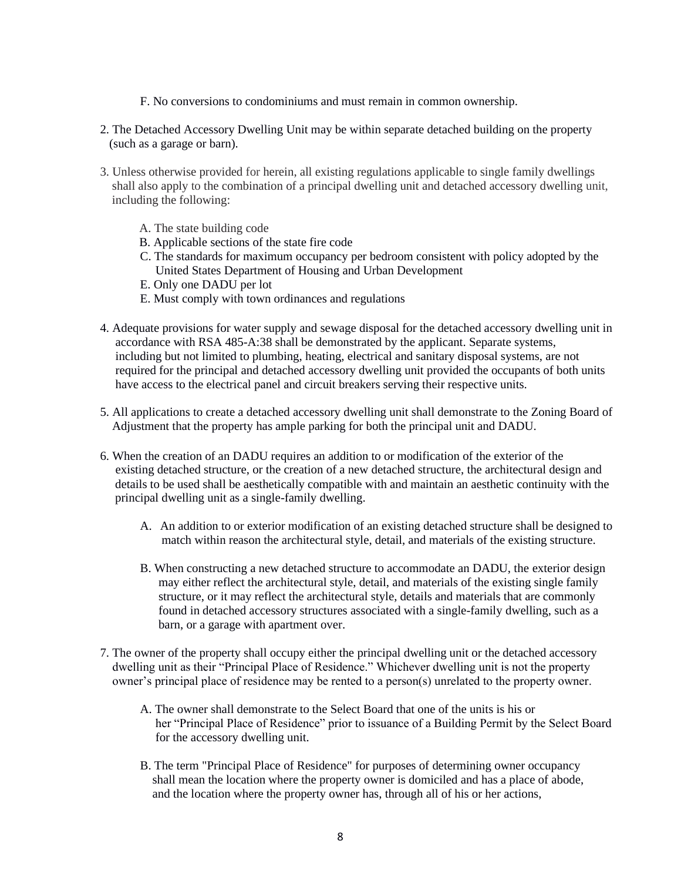- F. No conversions to condominiums and must remain in common ownership.
- 2. The Detached Accessory Dwelling Unit may be within separate detached building on the property (such as a garage or barn).
- 3. Unless otherwise provided for herein, all existing regulations applicable to single family dwellings shall also apply to the combination of a principal dwelling unit and detached accessory dwelling unit, including the following:
	- A. The state building code
	- B. Applicable sections of the state fire code
	- C. The standards for maximum occupancy per bedroom consistent with policy adopted by the United States Department of Housing and Urban Development
	- E. Only one DADU per lot
	- E. Must comply with town ordinances and regulations
- 4. Adequate provisions for water supply and sewage disposal for the detached accessory dwelling unit in accordance with RSA 485-A:38 shall be demonstrated by the applicant. Separate systems, including but not limited to plumbing, heating, electrical and sanitary disposal systems, are not required for the principal and detached accessory dwelling unit provided the occupants of both units have access to the electrical panel and circuit breakers serving their respective units.
- 5. All applications to create a detached accessory dwelling unit shall demonstrate to the Zoning Board of Adjustment that the property has ample parking for both the principal unit and DADU.
- 6. When the creation of an DADU requires an addition to or modification of the exterior of the existing detached structure, or the creation of a new detached structure, the architectural design and details to be used shall be aesthetically compatible with and maintain an aesthetic continuity with the principal dwelling unit as a single-family dwelling.
	- A. An addition to or exterior modification of an existing detached structure shall be designed to match within reason the architectural style, detail, and materials of the existing structure.
	- B. When constructing a new detached structure to accommodate an DADU, the exterior design may either reflect the architectural style, detail, and materials of the existing single family structure, or it may reflect the architectural style, details and materials that are commonly found in detached accessory structures associated with a single-family dwelling, such as a barn, or a garage with apartment over.
- 7. The owner of the property shall occupy either the principal dwelling unit or the detached accessory dwelling unit as their "Principal Place of Residence." Whichever dwelling unit is not the property owner's principal place of residence may be rented to a person(s) unrelated to the property owner.
	- A. The owner shall demonstrate to the Select Board that one of the units is his or her "Principal Place of Residence" prior to issuance of a Building Permit by the Select Board for the accessory dwelling unit.
	- B. The term "Principal Place of Residence" for purposes of determining owner occupancy shall mean the location where the property owner is domiciled and has a place of abode, and the location where the property owner has, through all of his or her actions,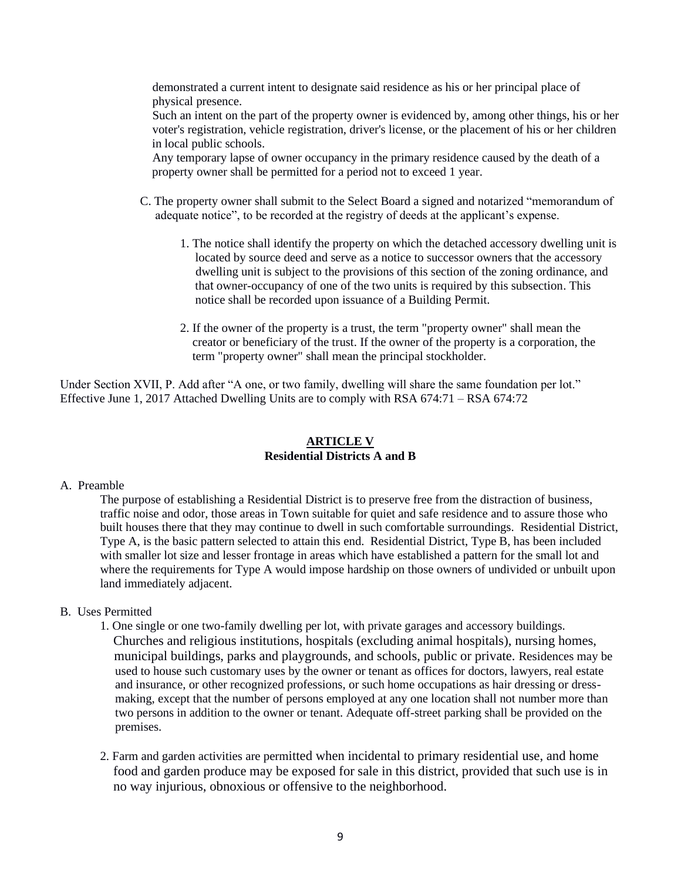demonstrated a current intent to designate said residence as his or her principal place of physical presence.

 Such an intent on the part of the property owner is evidenced by, among other things, his or her voter's registration, vehicle registration, driver's license, or the placement of his or her children in local public schools.

 Any temporary lapse of owner occupancy in the primary residence caused by the death of a property owner shall be permitted for a period not to exceed 1 year.

- C. The property owner shall submit to the Select Board a signed and notarized "memorandum of adequate notice", to be recorded at the registry of deeds at the applicant's expense.
	- 1. The notice shall identify the property on which the detached accessory dwelling unit is located by source deed and serve as a notice to successor owners that the accessory dwelling unit is subject to the provisions of this section of the zoning ordinance, and that owner-occupancy of one of the two units is required by this subsection. This notice shall be recorded upon issuance of a Building Permit.
	- 2. If the owner of the property is a trust, the term "property owner" shall mean the creator or beneficiary of the trust. If the owner of the property is a corporation, the term "property owner" shall mean the principal stockholder.

Under Section XVII, P. Add after "A one, or two family, dwelling will share the same foundation per lot." Effective June 1, 2017 Attached Dwelling Units are to comply with RSA 674:71 – RSA 674:72

# **ARTICLE V Residential Districts A and B**

#### A. Preamble

The purpose of establishing a Residential District is to preserve free from the distraction of business, traffic noise and odor, those areas in Town suitable for quiet and safe residence and to assure those who built houses there that they may continue to dwell in such comfortable surroundings. Residential District, Type A, is the basic pattern selected to attain this end. Residential District, Type B, has been included with smaller lot size and lesser frontage in areas which have established a pattern for the small lot and where the requirements for Type A would impose hardship on those owners of undivided or unbuilt upon land immediately adjacent.

# B. Uses Permitted

- 1. One single or one two-family dwelling per lot, with private garages and accessory buildings. Churches and religious institutions, hospitals (excluding animal hospitals), nursing homes, municipal buildings, parks and playgrounds, and schools, public or private. Residences may be used to house such customary uses by the owner or tenant as offices for doctors, lawyers, real estate and insurance, or other recognized professions, or such home occupations as hair dressing or dress making, except that the number of persons employed at any one location shall not number more than two persons in addition to the owner or tenant. Adequate off-street parking shall be provided on the premises.
- 2. Farm and garden activities are permitted when incidental to primary residential use, and home food and garden produce may be exposed for sale in this district, provided that such use is in no way injurious, obnoxious or offensive to the neighborhood.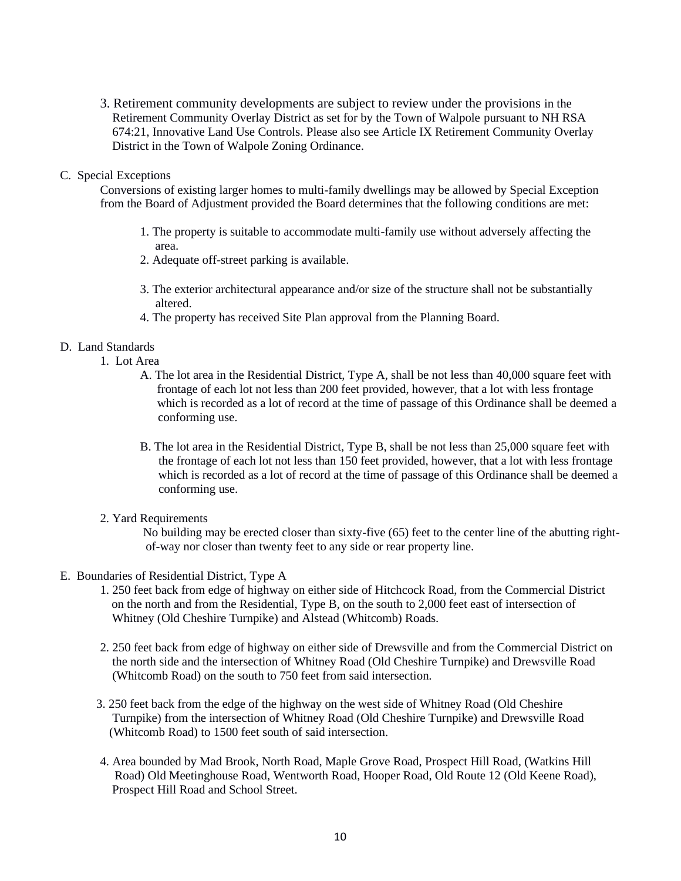3. Retirement community developments are subject to review under the provisions in the Retirement Community Overlay District as set for by the Town of Walpole pursuant to NH RSA 674:21, Innovative Land Use Controls. Please also see Article IX Retirement Community Overlay District in the Town of Walpole Zoning Ordinance.

### C. Special Exceptions

Conversions of existing larger homes to multi-family dwellings may be allowed by Special Exception from the Board of Adjustment provided the Board determines that the following conditions are met:

- 1. The property is suitable to accommodate multi-family use without adversely affecting the area.
- 2. Adequate off-street parking is available.
- 3. The exterior architectural appearance and/or size of the structure shall not be substantially altered.
- 4. The property has received Site Plan approval from the Planning Board.

### D. Land Standards

- 1. Lot Area
	- A. The lot area in the Residential District, Type A, shall be not less than 40,000 square feet with frontage of each lot not less than 200 feet provided, however, that a lot with less frontage which is recorded as a lot of record at the time of passage of this Ordinance shall be deemed a conforming use.
	- B. The lot area in the Residential District, Type B, shall be not less than 25,000 square feet with the frontage of each lot not less than 150 feet provided, however, that a lot with less frontage which is recorded as a lot of record at the time of passage of this Ordinance shall be deemed a conforming use.
- 2. Yard Requirements

No building may be erected closer than sixty-five (65) feet to the center line of the abutting right of-way nor closer than twenty feet to any side or rear property line.

- E. Boundaries of Residential District, Type A
	- 1. 250 feet back from edge of highway on either side of Hitchcock Road, from the Commercial District on the north and from the Residential, Type B, on the south to 2,000 feet east of intersection of Whitney (Old Cheshire Turnpike) and Alstead (Whitcomb) Roads.
	- 2. 250 feet back from edge of highway on either side of Drewsville and from the Commercial District on the north side and the intersection of Whitney Road (Old Cheshire Turnpike) and Drewsville Road (Whitcomb Road) on the south to 750 feet from said intersection.
	- 3. 250 feet back from the edge of the highway on the west side of Whitney Road (Old Cheshire Turnpike) from the intersection of Whitney Road (Old Cheshire Turnpike) and Drewsville Road (Whitcomb Road) to 1500 feet south of said intersection.
	- 4. Area bounded by Mad Brook, North Road, Maple Grove Road, Prospect Hill Road, (Watkins Hill Road) Old Meetinghouse Road, Wentworth Road, Hooper Road, Old Route 12 (Old Keene Road), Prospect Hill Road and School Street.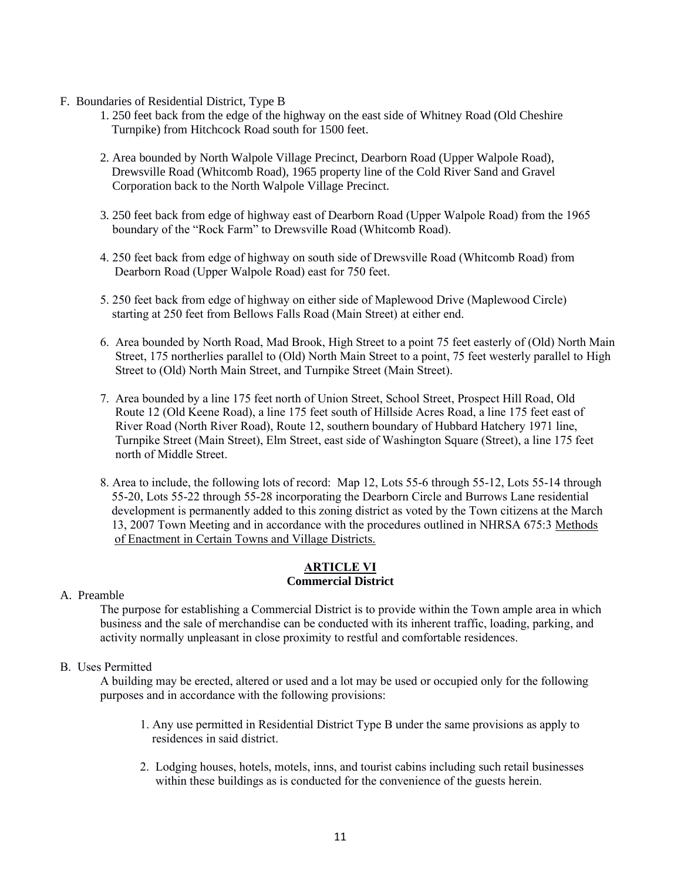- F. Boundaries of Residential District, Type B
	- 1. 250 feet back from the edge of the highway on the east side of Whitney Road (Old Cheshire Turnpike) from Hitchcock Road south for 1500 feet.
	- 2. Area bounded by North Walpole Village Precinct, Dearborn Road (Upper Walpole Road), Drewsville Road (Whitcomb Road), 1965 property line of the Cold River Sand and Gravel Corporation back to the North Walpole Village Precinct.
	- 3. 250 feet back from edge of highway east of Dearborn Road (Upper Walpole Road) from the 1965 boundary of the "Rock Farm" to Drewsville Road (Whitcomb Road).
	- 4. 250 feet back from edge of highway on south side of Drewsville Road (Whitcomb Road) from Dearborn Road (Upper Walpole Road) east for 750 feet.
	- 5. 250 feet back from edge of highway on either side of Maplewood Drive (Maplewood Circle) starting at 250 feet from Bellows Falls Road (Main Street) at either end.
	- 6. Area bounded by North Road, Mad Brook, High Street to a point 75 feet easterly of (Old) North Main Street, 175 northerlies parallel to (Old) North Main Street to a point, 75 feet westerly parallel to High Street to (Old) North Main Street, and Turnpike Street (Main Street).
	- 7. Area bounded by a line 175 feet north of Union Street, School Street, Prospect Hill Road, Old Route 12 (Old Keene Road), a line 175 feet south of Hillside Acres Road, a line 175 feet east of River Road (North River Road), Route 12, southern boundary of Hubbard Hatchery 1971 line, Turnpike Street (Main Street), Elm Street, east side of Washington Square (Street), a line 175 feet north of Middle Street.
	- 8. Area to include, the following lots of record: Map 12, Lots 55-6 through 55-12, Lots 55-14 through 55-20, Lots 55-22 through 55-28 incorporating the Dearborn Circle and Burrows Lane residential development is permanently added to this zoning district as voted by the Town citizens at the March 13, 2007 Town Meeting and in accordance with the procedures outlined in NHRSA 675:3 Methods of Enactment in Certain Towns and Village Districts.

### **ARTICLE VI Commercial District**

# A. Preamble

The purpose for establishing a Commercial District is to provide within the Town ample area in which business and the sale of merchandise can be conducted with its inherent traffic, loading, parking, and activity normally unpleasant in close proximity to restful and comfortable residences.

# B. Uses Permitted

A building may be erected, altered or used and a lot may be used or occupied only for the following purposes and in accordance with the following provisions:

- 1. Any use permitted in Residential District Type B under the same provisions as apply to residences in said district.
- 2. Lodging houses, hotels, motels, inns, and tourist cabins including such retail businesses within these buildings as is conducted for the convenience of the guests herein.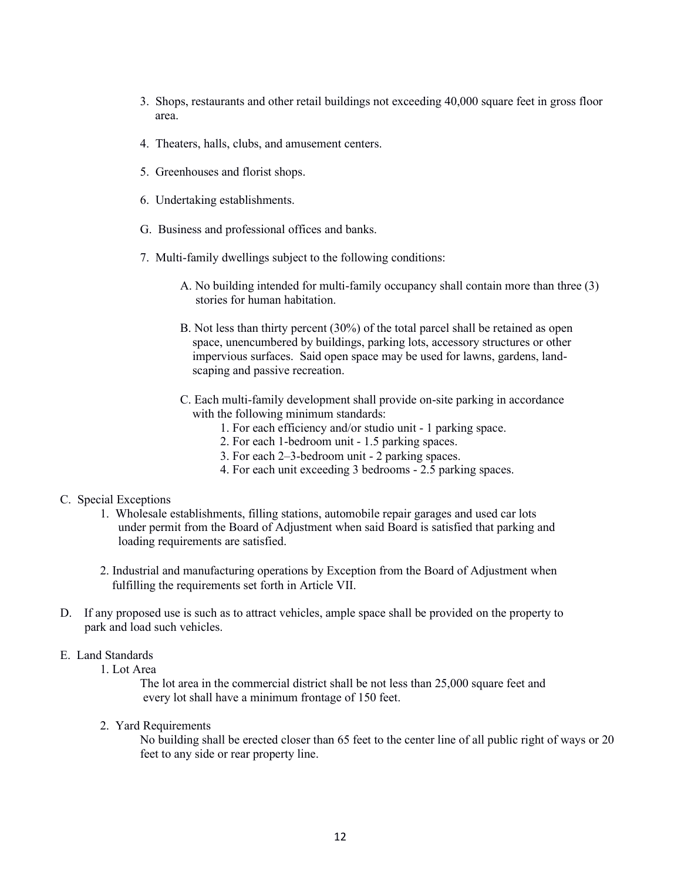- 3. Shops, restaurants and other retail buildings not exceeding 40,000 square feet in gross floor area.
- 4. Theaters, halls, clubs, and amusement centers.
- 5. Greenhouses and florist shops.
- 6. Undertaking establishments.
- G. Business and professional offices and banks.
- 7. Multi-family dwellings subject to the following conditions:
	- A. No building intended for multi-family occupancy shall contain more than three (3) stories for human habitation.
	- B. Not less than thirty percent (30%) of the total parcel shall be retained as open space, unencumbered by buildings, parking lots, accessory structures or other impervious surfaces. Said open space may be used for lawns, gardens, land scaping and passive recreation.
	- C. Each multi-family development shall provide on-site parking in accordance with the following minimum standards:
		- 1. For each efficiency and/or studio unit 1 parking space.
		- 2. For each 1-bedroom unit 1.5 parking spaces.
		- 3. For each 2–3-bedroom unit 2 parking spaces.
		- 4. For each unit exceeding 3 bedrooms 2.5 parking spaces.

# C. Special Exceptions

- 1. Wholesale establishments, filling stations, automobile repair garages and used car lots under permit from the Board of Adjustment when said Board is satisfied that parking and loading requirements are satisfied.
- 2. Industrial and manufacturing operations by Exception from the Board of Adjustment when fulfilling the requirements set forth in Article VII.
- D. If any proposed use is such as to attract vehicles, ample space shall be provided on the property to park and load such vehicles.

### E. Land Standards

1. Lot Area

The lot area in the commercial district shall be not less than 25,000 square feet and every lot shall have a minimum frontage of 150 feet.

2. Yard Requirements

 No building shall be erected closer than 65 feet to the center line of all public right of ways or 20 feet to any side or rear property line.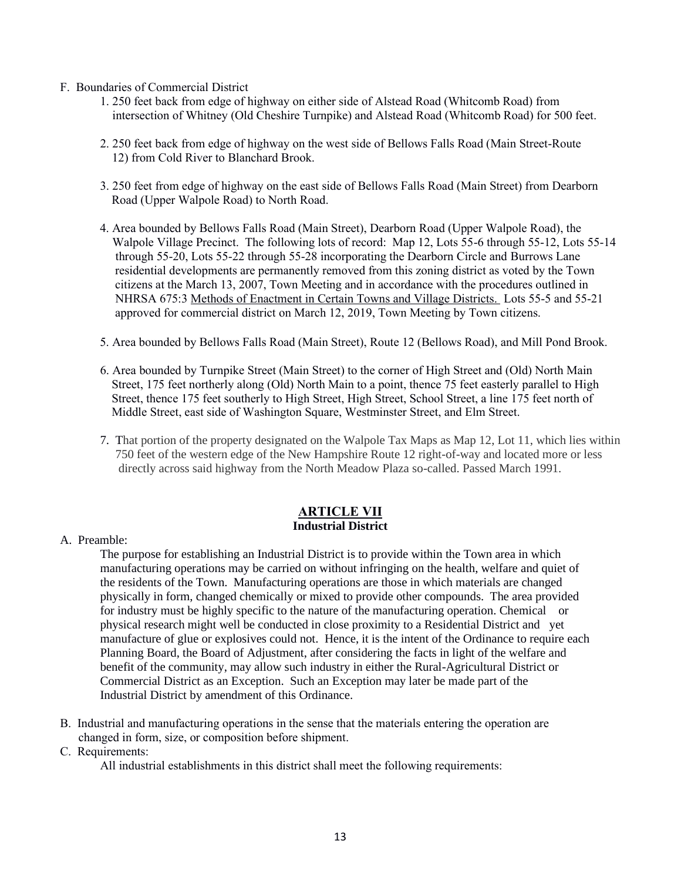- F. Boundaries of Commercial District
	- 1. 250 feet back from edge of highway on either side of Alstead Road (Whitcomb Road) from intersection of Whitney (Old Cheshire Turnpike) and Alstead Road (Whitcomb Road) for 500 feet.
	- 2. 250 feet back from edge of highway on the west side of Bellows Falls Road (Main Street-Route 12) from Cold River to Blanchard Brook.
	- 3. 250 feet from edge of highway on the east side of Bellows Falls Road (Main Street) from Dearborn Road (Upper Walpole Road) to North Road.
	- 4. Area bounded by Bellows Falls Road (Main Street), Dearborn Road (Upper Walpole Road), the Walpole Village Precinct. The following lots of record: Map 12, Lots 55-6 through 55-12, Lots 55-14 through 55-20, Lots 55-22 through 55-28 incorporating the Dearborn Circle and Burrows Lane residential developments are permanently removed from this zoning district as voted by the Town citizens at the March 13, 2007, Town Meeting and in accordance with the procedures outlined in NHRSA 675:3 Methods of Enactment in Certain Towns and Village Districts. Lots 55-5 and 55-21 approved for commercial district on March 12, 2019, Town Meeting by Town citizens.
	- 5. Area bounded by Bellows Falls Road (Main Street), Route 12 (Bellows Road), and Mill Pond Brook.
	- 6. Area bounded by Turnpike Street (Main Street) to the corner of High Street and (Old) North Main Street, 175 feet northerly along (Old) North Main to a point, thence 75 feet easterly parallel to High Street, thence 175 feet southerly to High Street, High Street, School Street, a line 175 feet north of Middle Street, east side of Washington Square, Westminster Street, and Elm Street.
	- 7. That portion of the property designated on the Walpole Tax Maps as Map 12, Lot 11, which lies within 750 feet of the western edge of the New Hampshire Route 12 right-of-way and located more or less directly across said highway from the North Meadow Plaza so-called. Passed March 1991.

### **ARTICLE VII Industrial District**

A. Preamble:

 The purpose for establishing an Industrial District is to provide within the Town area in which manufacturing operations may be carried on without infringing on the health, welfare and quiet of the residents of the Town. Manufacturing operations are those in which materials are changed physically in form, changed chemically or mixed to provide other compounds. The area provided for industry must be highly specific to the nature of the manufacturing operation. Chemical or physical research might well be conducted in close proximity to a Residential District and yet manufacture of glue or explosives could not. Hence, it is the intent of the Ordinance to require each Planning Board, the Board of Adjustment, after considering the facts in light of the welfare and benefit of the community, may allow such industry in either the Rural-Agricultural District or Commercial District as an Exception. Such an Exception may later be made part of the Industrial District by amendment of this Ordinance.

- B. Industrial and manufacturing operations in the sense that the materials entering the operation are changed in form, size, or composition before shipment.
- C. Requirements:

All industrial establishments in this district shall meet the following requirements: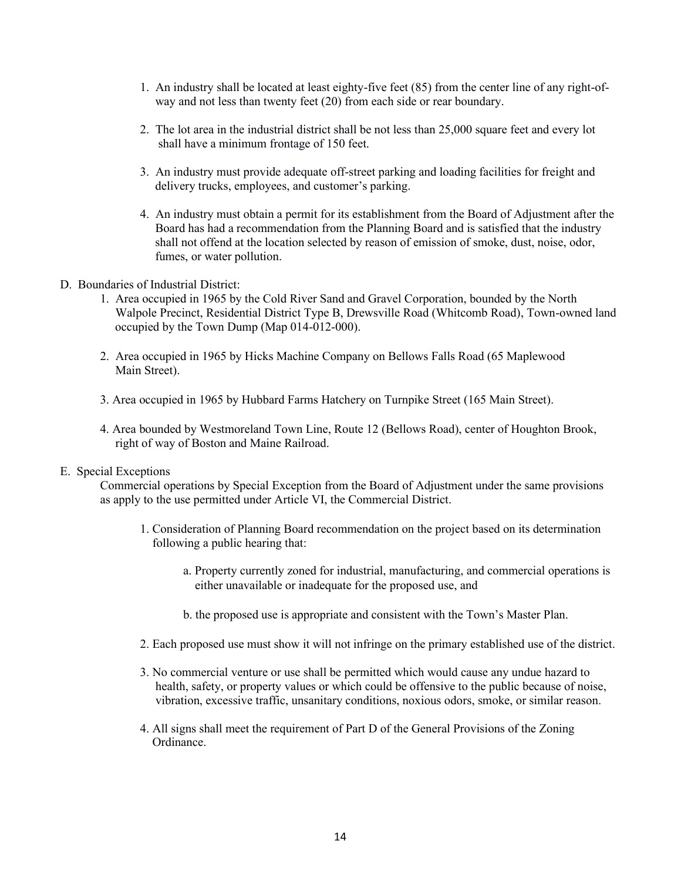- 1. An industry shall be located at least eighty-five feet (85) from the center line of any right-of way and not less than twenty feet (20) from each side or rear boundary.
- 2. The lot area in the industrial district shall be not less than 25,000 square feet and every lot shall have a minimum frontage of 150 feet.
- 3. An industry must provide adequate off-street parking and loading facilities for freight and delivery trucks, employees, and customer's parking.
- 4. An industry must obtain a permit for its establishment from the Board of Adjustment after the Board has had a recommendation from the Planning Board and is satisfied that the industry shall not offend at the location selected by reason of emission of smoke, dust, noise, odor, fumes, or water pollution.
- D. Boundaries of Industrial District:
	- 1. Area occupied in 1965 by the Cold River Sand and Gravel Corporation, bounded by the North Walpole Precinct, Residential District Type B, Drewsville Road (Whitcomb Road), Town-owned land occupied by the Town Dump (Map 014-012-000).
	- 2. Area occupied in 1965 by Hicks Machine Company on Bellows Falls Road (65 Maplewood Main Street).
	- 3. Area occupied in 1965 by Hubbard Farms Hatchery on Turnpike Street (165 Main Street).
	- 4. Area bounded by Westmoreland Town Line, Route 12 (Bellows Road), center of Houghton Brook, right of way of Boston and Maine Railroad.

### E. Special Exceptions

Commercial operations by Special Exception from the Board of Adjustment under the same provisions as apply to the use permitted under Article VI, the Commercial District.

- 1. Consideration of Planning Board recommendation on the project based on its determination following a public hearing that:
	- a. Property currently zoned for industrial, manufacturing, and commercial operations is either unavailable or inadequate for the proposed use, and
	- b. the proposed use is appropriate and consistent with the Town's Master Plan.
- 2. Each proposed use must show it will not infringe on the primary established use of the district.
- 3. No commercial venture or use shall be permitted which would cause any undue hazard to health, safety, or property values or which could be offensive to the public because of noise, vibration, excessive traffic, unsanitary conditions, noxious odors, smoke, or similar reason.
- 4. All signs shall meet the requirement of Part D of the General Provisions of the Zoning Ordinance.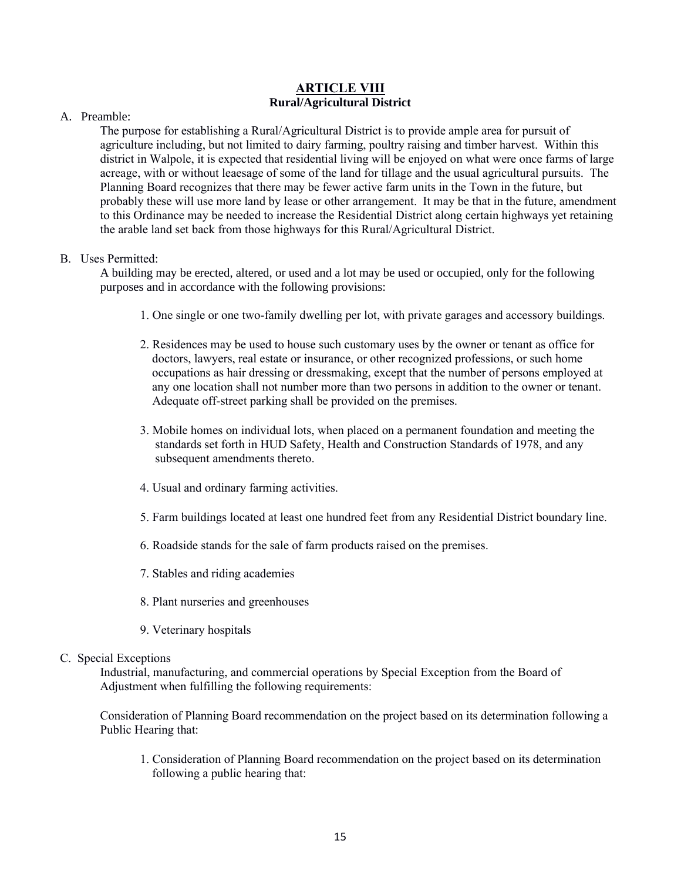# **ARTICLE VIII Rural/Agricultural District**

# A. Preamble:

The purpose for establishing a Rural/Agricultural District is to provide ample area for pursuit of agriculture including, but not limited to dairy farming, poultry raising and timber harvest. Within this district in Walpole, it is expected that residential living will be enjoyed on what were once farms of large acreage, with or without leaesage of some of the land for tillage and the usual agricultural pursuits. The Planning Board recognizes that there may be fewer active farm units in the Town in the future, but probably these will use more land by lease or other arrangement. It may be that in the future, amendment to this Ordinance may be needed to increase the Residential District along certain highways yet retaining the arable land set back from those highways for this Rural/Agricultural District.

# B. Uses Permitted:

 A building may be erected, altered, or used and a lot may be used or occupied, only for the following purposes and in accordance with the following provisions:

- 1. One single or one two-family dwelling per lot, with private garages and accessory buildings.
- 2. Residences may be used to house such customary uses by the owner or tenant as office for doctors, lawyers, real estate or insurance, or other recognized professions, or such home occupations as hair dressing or dressmaking, except that the number of persons employed at any one location shall not number more than two persons in addition to the owner or tenant. Adequate off-street parking shall be provided on the premises.
- 3. Mobile homes on individual lots, when placed on a permanent foundation and meeting the standards set forth in HUD Safety, Health and Construction Standards of 1978, and any subsequent amendments thereto.
- 4. Usual and ordinary farming activities.
- 5. Farm buildings located at least one hundred feet from any Residential District boundary line.
- 6. Roadside stands for the sale of farm products raised on the premises.
- 7. Stables and riding academies
- 8. Plant nurseries and greenhouses
- 9. Veterinary hospitals

# C. Special Exceptions

Industrial, manufacturing, and commercial operations by Special Exception from the Board of Adjustment when fulfilling the following requirements:

Consideration of Planning Board recommendation on the project based on its determination following a Public Hearing that:

 1. Consideration of Planning Board recommendation on the project based on its determination following a public hearing that: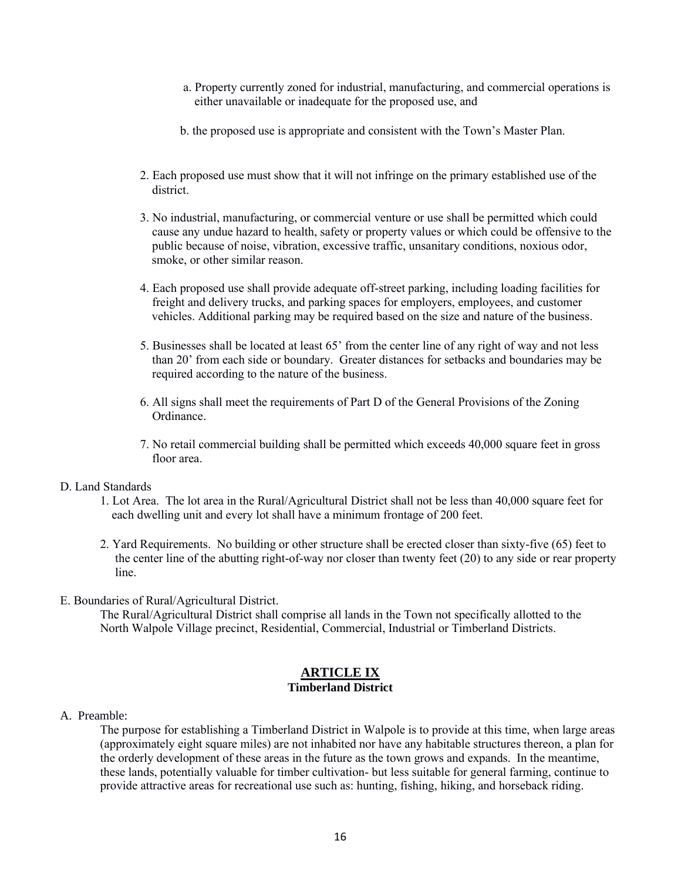- a. Property currently zoned for industrial, manufacturing, and commercial operations is either unavailable or inadequate for the proposed use, and
- b. the proposed use is appropriate and consistent with the Town's Master Plan.
- 2. Each proposed use must show that it will not infringe on the primary established use of the district.
- 3. No industrial, manufacturing, or commercial venture or use shall be permitted which could cause any undue hazard to health, safety or property values or which could be offensive to the public because of noise, vibration, excessive traffic, unsanitary conditions, noxious odor, smoke, or other similar reason.
- 4. Each proposed use shall provide adequate off-street parking, including loading facilities for freight and delivery trucks, and parking spaces for employers, employees, and customer vehicles. Additional parking may be required based on the size and nature of the business.
- 5. Businesses shall be located at least 65' from the center line of any right of way and not less than 20' from each side or boundary. Greater distances for setbacks and boundaries may be required according to the nature of the business.
- 6. All signs shall meet the requirements of Part D of the General Provisions of the Zoning Ordinance.
- 7. No retail commercial building shall be permitted which exceeds 40,000 square feet in gross floor area.

# D. Land Standards

- 1. Lot Area. The lot area in the Rural/Agricultural District shall not be less than 40,000 square feet for each dwelling unit and every lot shall have a minimum frontage of 200 feet.
- 2. Yard Requirements. No building or other structure shall be erected closer than sixty-five (65) feet to the center line of the abutting right-of-way nor closer than twenty feet (20) to any side or rear property line.
- E. Boundaries of Rural/Agricultural District.

 The Rural/Agricultural District shall comprise all lands in the Town not specifically allotted to the North Walpole Village precinct, Residential, Commercial, Industrial or Timberland Districts.

### **ARTICLE IX Timberland District**

A. Preamble:

The purpose for establishing a Timberland District in Walpole is to provide at this time, when large areas (approximately eight square miles) are not inhabited nor have any habitable structures thereon, a plan for the orderly development of these areas in the future as the town grows and expands. In the meantime, these lands, potentially valuable for timber cultivation- but less suitable for general farming, continue to provide attractive areas for recreational use such as: hunting, fishing, hiking, and horseback riding.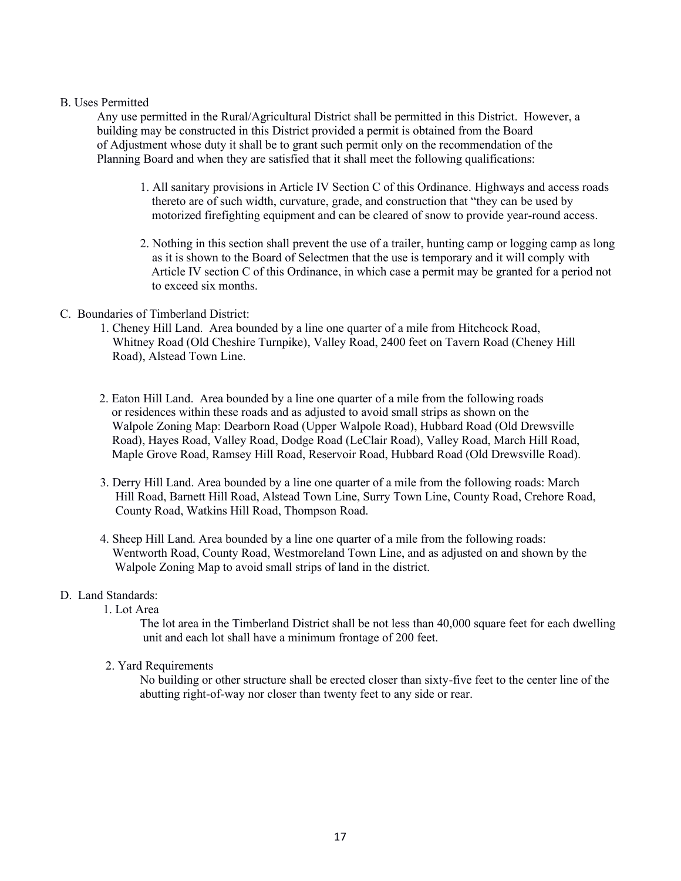### B. Uses Permitted

 Any use permitted in the Rural/Agricultural District shall be permitted in this District. However, a building may be constructed in this District provided a permit is obtained from the Board of Adjustment whose duty it shall be to grant such permit only on the recommendation of the Planning Board and when they are satisfied that it shall meet the following qualifications:

- 1. All sanitary provisions in Article IV Section C of this Ordinance. Highways and access roads thereto are of such width, curvature, grade, and construction that "they can be used by motorized firefighting equipment and can be cleared of snow to provide year-round access.
- 2. Nothing in this section shall prevent the use of a trailer, hunting camp or logging camp as long as it is shown to the Board of Selectmen that the use is temporary and it will comply with Article IV section C of this Ordinance, in which case a permit may be granted for a period not to exceed six months.

# C. Boundaries of Timberland District:

- 1. Cheney Hill Land. Area bounded by a line one quarter of a mile from Hitchcock Road, Whitney Road (Old Cheshire Turnpike), Valley Road, 2400 feet on Tavern Road (Cheney Hill Road), Alstead Town Line.
- 2. Eaton Hill Land. Area bounded by a line one quarter of a mile from the following roads or residences within these roads and as adjusted to avoid small strips as shown on the Walpole Zoning Map: Dearborn Road (Upper Walpole Road), Hubbard Road (Old Drewsville Road), Hayes Road, Valley Road, Dodge Road (LeClair Road), Valley Road, March Hill Road, Maple Grove Road, Ramsey Hill Road, Reservoir Road, Hubbard Road (Old Drewsville Road).
- 3. Derry Hill Land. Area bounded by a line one quarter of a mile from the following roads: March Hill Road, Barnett Hill Road, Alstead Town Line, Surry Town Line, County Road, Crehore Road, County Road, Watkins Hill Road, Thompson Road.
- 4. Sheep Hill Land. Area bounded by a line one quarter of a mile from the following roads: Wentworth Road, County Road, Westmoreland Town Line, and as adjusted on and shown by the Walpole Zoning Map to avoid small strips of land in the district.

# D. Land Standards:

1. Lot Area

The lot area in the Timberland District shall be not less than 40,000 square feet for each dwelling unit and each lot shall have a minimum frontage of 200 feet.

2. Yard Requirements

No building or other structure shall be erected closer than sixty-five feet to the center line of the abutting right-of-way nor closer than twenty feet to any side or rear.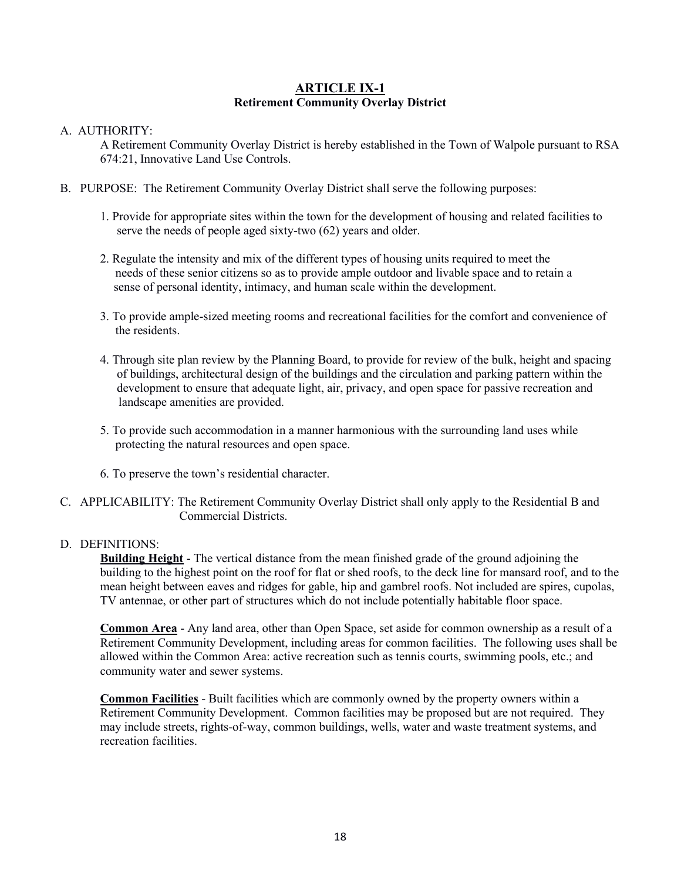# **ARTICLE IX-1 Retirement Community Overlay District**

# A. AUTHORITY:

A Retirement Community Overlay District is hereby established in the Town of Walpole pursuant to RSA 674:21, Innovative Land Use Controls.

- B. PURPOSE: The Retirement Community Overlay District shall serve the following purposes:
	- 1. Provide for appropriate sites within the town for the development of housing and related facilities to serve the needs of people aged sixty-two (62) years and older.
	- 2. Regulate the intensity and mix of the different types of housing units required to meet the needs of these senior citizens so as to provide ample outdoor and livable space and to retain a sense of personal identity, intimacy, and human scale within the development.
	- 3. To provide ample-sized meeting rooms and recreational facilities for the comfort and convenience of the residents.
	- 4. Through site plan review by the Planning Board, to provide for review of the bulk, height and spacing of buildings, architectural design of the buildings and the circulation and parking pattern within the development to ensure that adequate light, air, privacy, and open space for passive recreation and landscape amenities are provided.
	- 5. To provide such accommodation in a manner harmonious with the surrounding land uses while protecting the natural resources and open space.
	- 6. To preserve the town's residential character.
- C. APPLICABILITY: The Retirement Community Overlay District shall only apply to the Residential B and Commercial Districts.

# D. DEFINITIONS:

**Building Height** - The vertical distance from the mean finished grade of the ground adjoining the building to the highest point on the roof for flat or shed roofs, to the deck line for mansard roof, and to the mean height between eaves and ridges for gable, hip and gambrel roofs. Not included are spires, cupolas, TV antennae, or other part of structures which do not include potentially habitable floor space.

**Common Area** - Any land area, other than Open Space, set aside for common ownership as a result of a Retirement Community Development, including areas for common facilities. The following uses shall be allowed within the Common Area: active recreation such as tennis courts, swimming pools, etc.; and community water and sewer systems.

**Common Facilities** - Built facilities which are commonly owned by the property owners within a Retirement Community Development. Common facilities may be proposed but are not required. They may include streets, rights-of-way, common buildings, wells, water and waste treatment systems, and recreation facilities.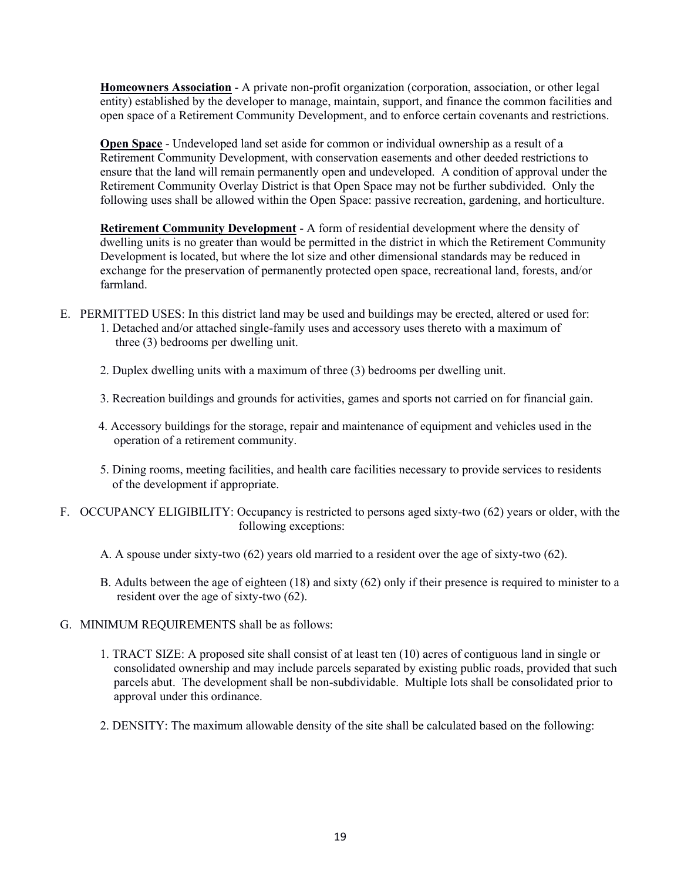**Homeowners Association** - A private non-profit organization (corporation, association, or other legal entity) established by the developer to manage, maintain, support, and finance the common facilities and open space of a Retirement Community Development, and to enforce certain covenants and restrictions.

**Open Space** - Undeveloped land set aside for common or individual ownership as a result of a Retirement Community Development, with conservation easements and other deeded restrictions to ensure that the land will remain permanently open and undeveloped. A condition of approval under the Retirement Community Overlay District is that Open Space may not be further subdivided. Only the following uses shall be allowed within the Open Space: passive recreation, gardening, and horticulture.

**Retirement Community Development** - A form of residential development where the density of dwelling units is no greater than would be permitted in the district in which the Retirement Community Development is located, but where the lot size and other dimensional standards may be reduced in exchange for the preservation of permanently protected open space, recreational land, forests, and/or farmland.

- E. PERMITTED USES: In this district land may be used and buildings may be erected, altered or used for: 1. Detached and/or attached single-family uses and accessory uses thereto with a maximum of three (3) bedrooms per dwelling unit.
	- 2. Duplex dwelling units with a maximum of three (3) bedrooms per dwelling unit.
	- 3. Recreation buildings and grounds for activities, games and sports not carried on for financial gain.
	- 4. Accessory buildings for the storage, repair and maintenance of equipment and vehicles used in the operation of a retirement community.
	- 5. Dining rooms, meeting facilities, and health care facilities necessary to provide services to residents of the development if appropriate.
- F. OCCUPANCY ELIGIBILITY: Occupancy is restricted to persons aged sixty-two (62) years or older, with the following exceptions:
	- A. A spouse under sixty-two (62) years old married to a resident over the age of sixty-two (62).
	- B. Adults between the age of eighteen (18) and sixty (62) only if their presence is required to minister to a resident over the age of sixty-two (62).
- G. MINIMUM REQUIREMENTS shall be as follows:
	- 1. TRACT SIZE: A proposed site shall consist of at least ten (10) acres of contiguous land in single or consolidated ownership and may include parcels separated by existing public roads, provided that such parcels abut. The development shall be non-subdividable. Multiple lots shall be consolidated prior to approval under this ordinance.
	- 2. DENSITY: The maximum allowable density of the site shall be calculated based on the following: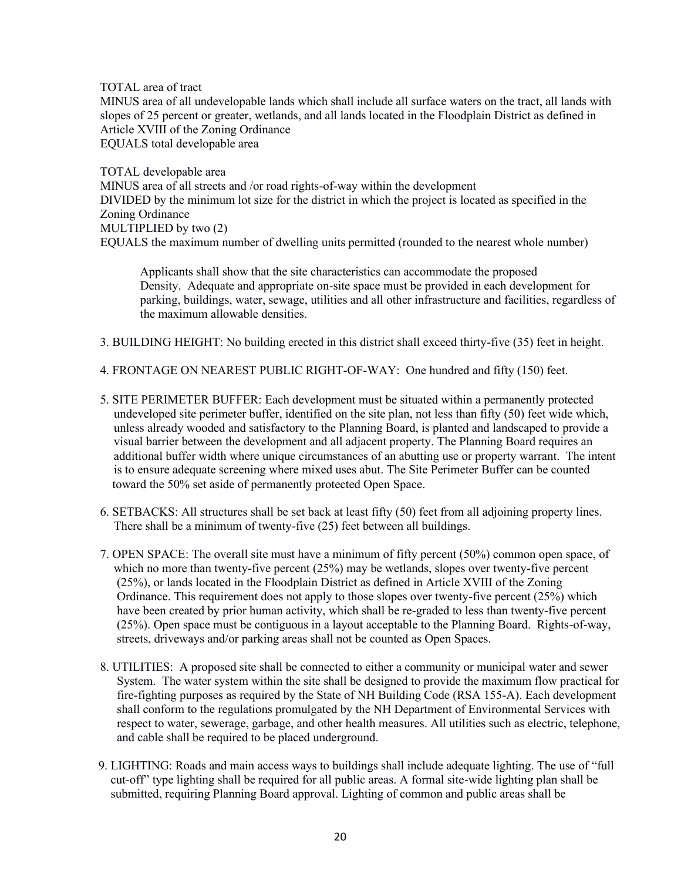TOTAL area of tract MINUS area of all undevelopable lands which shall include all surface waters on the tract, all lands with slopes of 25 percent or greater, wetlands, and all lands located in the Floodplain District as defined in Article XVIII of the Zoning Ordinance EQUALS total developable area

TOTAL developable area MINUS area of all streets and /or road rights-of-way within the development DIVIDED by the minimum lot size for the district in which the project is located as specified in the Zoning Ordinance MULTIPLIED by two (2) EQUALS the maximum number of dwelling units permitted (rounded to the nearest whole number)

Applicants shall show that the site characteristics can accommodate the proposed Density. Adequate and appropriate on-site space must be provided in each development for parking, buildings, water, sewage, utilities and all other infrastructure and facilities, regardless of the maximum allowable densities.

- 3. BUILDING HEIGHT: No building erected in this district shall exceed thirty-five (35) feet in height.
- 4. FRONTAGE ON NEAREST PUBLIC RIGHT-OF-WAY: One hundred and fifty (150) feet.
- 5. SITE PERIMETER BUFFER: Each development must be situated within a permanently protected undeveloped site perimeter buffer, identified on the site plan, not less than fifty (50) feet wide which, unless already wooded and satisfactory to the Planning Board, is planted and landscaped to provide a visual barrier between the development and all adjacent property. The Planning Board requires an additional buffer width where unique circumstances of an abutting use or property warrant. The intent is to ensure adequate screening where mixed uses abut. The Site Perimeter Buffer can be counted toward the 50% set aside of permanently protected Open Space.
- 6. SETBACKS: All structures shall be set back at least fifty (50) feet from all adjoining property lines. There shall be a minimum of twenty-five (25) feet between all buildings.
- 7. OPEN SPACE: The overall site must have a minimum of fifty percent (50%) common open space, of which no more than twenty-five percent (25%) may be wetlands, slopes over twenty-five percent (25%), or lands located in the Floodplain District as defined in Article XVIII of the Zoning Ordinance. This requirement does not apply to those slopes over twenty-five percent (25%) which have been created by prior human activity, which shall be re-graded to less than twenty-five percent (25%). Open space must be contiguous in a layout acceptable to the Planning Board. Rights-of-way, streets, driveways and/or parking areas shall not be counted as Open Spaces.
- 8. UTILITIES: A proposed site shall be connected to either a community or municipal water and sewer System. The water system within the site shall be designed to provide the maximum flow practical for fire-fighting purposes as required by the State of NH Building Code (RSA 155-A). Each development shall conform to the regulations promulgated by the NH Department of Environmental Services with respect to water, sewerage, garbage, and other health measures. All utilities such as electric, telephone, and cable shall be required to be placed underground.
- 9. LIGHTING: Roads and main access ways to buildings shall include adequate lighting. The use of "full cut-off" type lighting shall be required for all public areas. A formal site-wide lighting plan shall be submitted, requiring Planning Board approval. Lighting of common and public areas shall be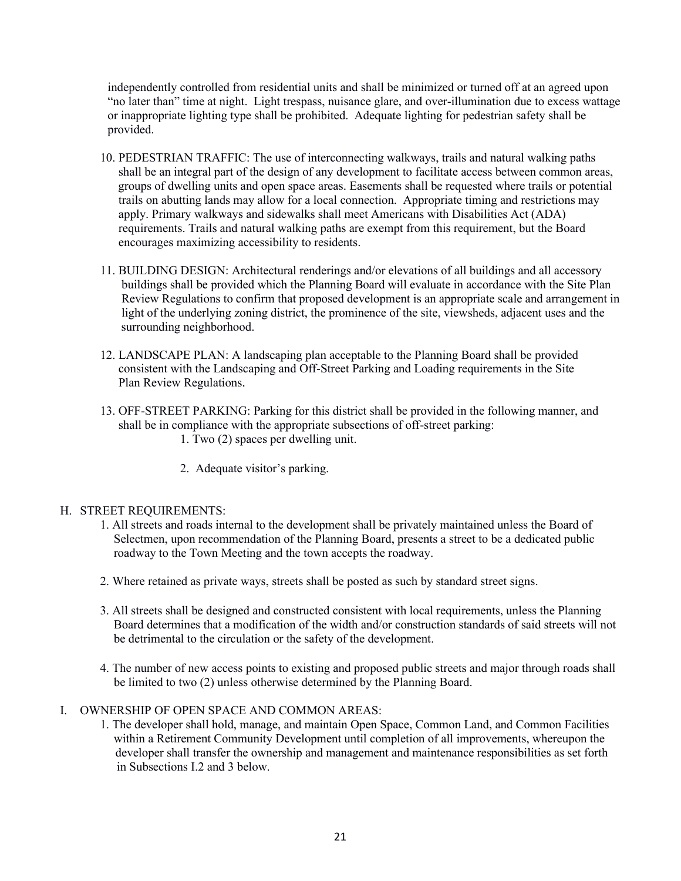independently controlled from residential units and shall be minimized or turned off at an agreed upon "no later than" time at night. Light trespass, nuisance glare, and over-illumination due to excess wattage or inappropriate lighting type shall be prohibited. Adequate lighting for pedestrian safety shall be provided.

- 10. PEDESTRIAN TRAFFIC: The use of interconnecting walkways, trails and natural walking paths shall be an integral part of the design of any development to facilitate access between common areas, groups of dwelling units and open space areas. Easements shall be requested where trails or potential trails on abutting lands may allow for a local connection. Appropriate timing and restrictions may apply. Primary walkways and sidewalks shall meet Americans with Disabilities Act (ADA) requirements. Trails and natural walking paths are exempt from this requirement, but the Board encourages maximizing accessibility to residents.
- 11. BUILDING DESIGN: Architectural renderings and/or elevations of all buildings and all accessory buildings shall be provided which the Planning Board will evaluate in accordance with the Site Plan Review Regulations to confirm that proposed development is an appropriate scale and arrangement in light of the underlying zoning district, the prominence of the site, viewsheds, adjacent uses and the surrounding neighborhood.
- 12. LANDSCAPE PLAN: A landscaping plan acceptable to the Planning Board shall be provided consistent with the Landscaping and Off-Street Parking and Loading requirements in the Site Plan Review Regulations.
- 13. OFF-STREET PARKING: Parking for this district shall be provided in the following manner, and shall be in compliance with the appropriate subsections of off-street parking: 1. Two (2) spaces per dwelling unit.
	- 2. Adequate visitor's parking.

### H. STREET REQUIREMENTS:

- 1. All streets and roads internal to the development shall be privately maintained unless the Board of Selectmen, upon recommendation of the Planning Board, presents a street to be a dedicated public roadway to the Town Meeting and the town accepts the roadway.
- 2. Where retained as private ways, streets shall be posted as such by standard street signs.
- 3. All streets shall be designed and constructed consistent with local requirements, unless the Planning Board determines that a modification of the width and/or construction standards of said streets will not be detrimental to the circulation or the safety of the development.
- 4. The number of new access points to existing and proposed public streets and major through roads shall be limited to two (2) unless otherwise determined by the Planning Board.

# I. OWNERSHIP OF OPEN SPACE AND COMMON AREAS:

1. The developer shall hold, manage, and maintain Open Space, Common Land, and Common Facilities within a Retirement Community Development until completion of all improvements, whereupon the developer shall transfer the ownership and management and maintenance responsibilities as set forth in Subsections I.2 and 3 below.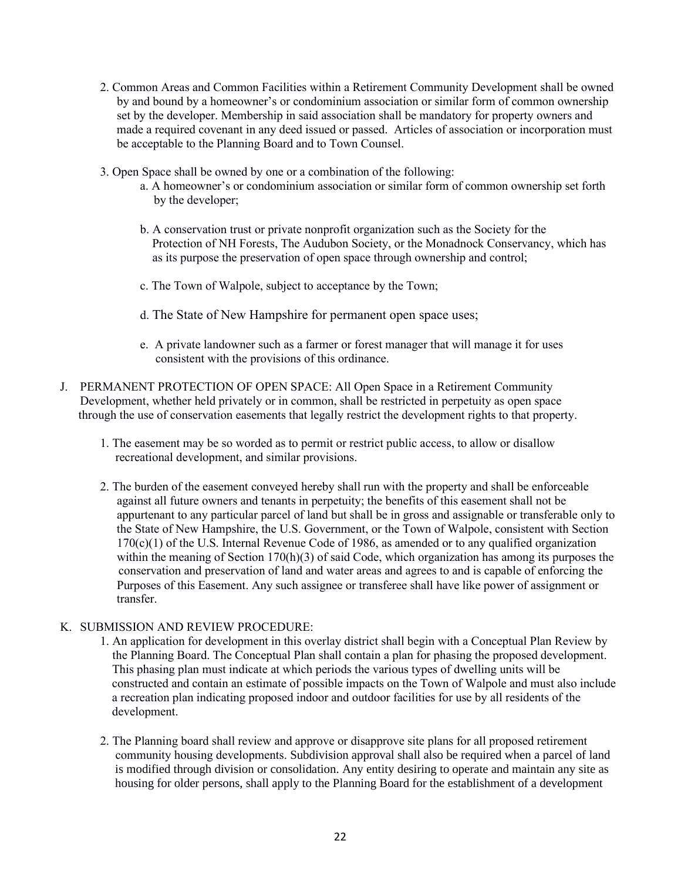- 2. Common Areas and Common Facilities within a Retirement Community Development shall be owned by and bound by a homeowner's or condominium association or similar form of common ownership set by the developer. Membership in said association shall be mandatory for property owners and made a required covenant in any deed issued or passed. Articles of association or incorporation must be acceptable to the Planning Board and to Town Counsel.
- 3. Open Space shall be owned by one or a combination of the following:
	- a. A homeowner's or condominium association or similar form of common ownership set forth by the developer;
	- b. A conservation trust or private nonprofit organization such as the Society for the Protection of NH Forests, The Audubon Society, or the Monadnock Conservancy, which has as its purpose the preservation of open space through ownership and control;
	- c. The Town of Walpole, subject to acceptance by the Town;
	- d. The State of New Hampshire for permanent open space uses;
	- e. A private landowner such as a farmer or forest manager that will manage it for uses consistent with the provisions of this ordinance.
- J. PERMANENT PROTECTION OF OPEN SPACE: All Open Space in a Retirement Community Development, whether held privately or in common, shall be restricted in perpetuity as open space through the use of conservation easements that legally restrict the development rights to that property.
	- 1. The easement may be so worded as to permit or restrict public access, to allow or disallow recreational development, and similar provisions.
	- 2. The burden of the easement conveyed hereby shall run with the property and shall be enforceable against all future owners and tenants in perpetuity; the benefits of this easement shall not be appurtenant to any particular parcel of land but shall be in gross and assignable or transferable only to the State of New Hampshire, the U.S. Government, or the Town of Walpole, consistent with Section  $170(c)(1)$  of the U.S. Internal Revenue Code of 1986, as amended or to any qualified organization within the meaning of Section 170(h)(3) of said Code, which organization has among its purposes the conservation and preservation of land and water areas and agrees to and is capable of enforcing the Purposes of this Easement. Any such assignee or transferee shall have like power of assignment or transfer.

# K. SUBMISSION AND REVIEW PROCEDURE:

- 1. An application for development in this overlay district shall begin with a Conceptual Plan Review by the Planning Board. The Conceptual Plan shall contain a plan for phasing the proposed development. This phasing plan must indicate at which periods the various types of dwelling units will be constructed and contain an estimate of possible impacts on the Town of Walpole and must also include a recreation plan indicating proposed indoor and outdoor facilities for use by all residents of the development.
- 2. The Planning board shall review and approve or disapprove site plans for all proposed retirement community housing developments. Subdivision approval shall also be required when a parcel of land is modified through division or consolidation. Any entity desiring to operate and maintain any site as housing for older persons, shall apply to the Planning Board for the establishment of a development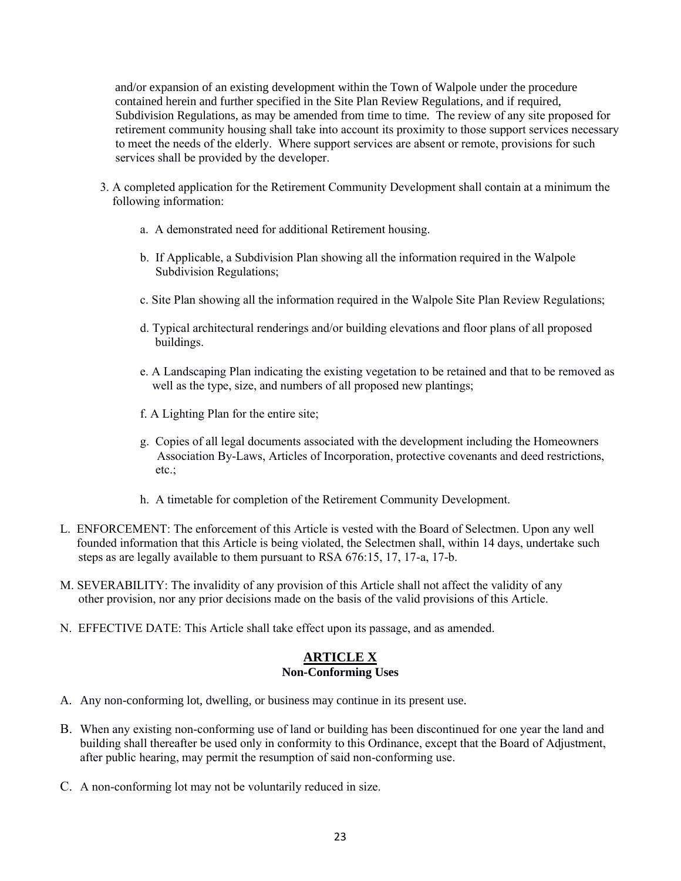and/or expansion of an existing development within the Town of Walpole under the procedure contained herein and further specified in the Site Plan Review Regulations, and if required, Subdivision Regulations, as may be amended from time to time. The review of any site proposed for retirement community housing shall take into account its proximity to those support services necessary to meet the needs of the elderly. Where support services are absent or remote, provisions for such services shall be provided by the developer.

- 3. A completed application for the Retirement Community Development shall contain at a minimum the following information:
	- a. A demonstrated need for additional Retirement housing.
	- b. If Applicable, a Subdivision Plan showing all the information required in the Walpole Subdivision Regulations;
	- c. Site Plan showing all the information required in the Walpole Site Plan Review Regulations;
	- d. Typical architectural renderings and/or building elevations and floor plans of all proposed buildings.
	- e. A Landscaping Plan indicating the existing vegetation to be retained and that to be removed as well as the type, size, and numbers of all proposed new plantings;
	- f. A Lighting Plan for the entire site;
	- g. Copies of all legal documents associated with the development including the Homeowners Association By-Laws, Articles of Incorporation, protective covenants and deed restrictions, etc.;
	- h. A timetable for completion of the Retirement Community Development.
- L. ENFORCEMENT: The enforcement of this Article is vested with the Board of Selectmen. Upon any well founded information that this Article is being violated, the Selectmen shall, within 14 days, undertake such steps as are legally available to them pursuant to RSA 676:15, 17, 17-a, 17-b.
- M. SEVERABILITY: The invalidity of any provision of this Article shall not affect the validity of any other provision, nor any prior decisions made on the basis of the valid provisions of this Article.
- N. EFFECTIVE DATE: This Article shall take effect upon its passage, and as amended.

# **ARTICLE X**

# **Non-Conforming Uses**

- A. Any non-conforming lot, dwelling, or business may continue in its present use.
- B. When any existing non-conforming use of land or building has been discontinued for one year the land and building shall thereafter be used only in conformity to this Ordinance, except that the Board of Adjustment, after public hearing, may permit the resumption of said non-conforming use.
- C. A non-conforming lot may not be voluntarily reduced in size.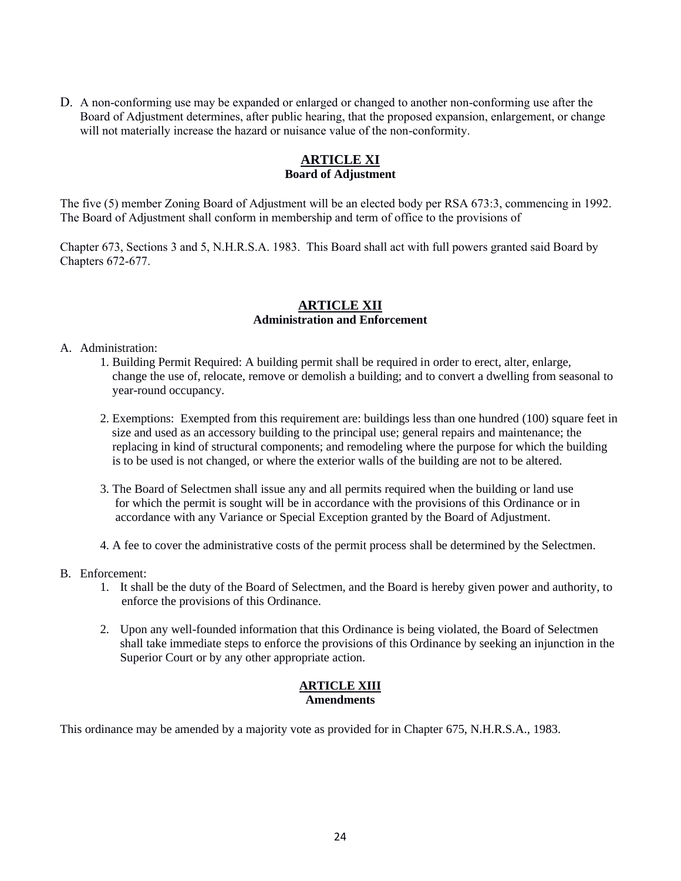D. A non-conforming use may be expanded or enlarged or changed to another non-conforming use after the Board of Adjustment determines, after public hearing, that the proposed expansion, enlargement, or change will not materially increase the hazard or nuisance value of the non-conformity.

# **ARTICLE XI Board of Adjustment**

The five (5) member Zoning Board of Adjustment will be an elected body per RSA 673:3, commencing in 1992. The Board of Adjustment shall conform in membership and term of office to the provisions of

Chapter 673, Sections 3 and 5, N.H.R.S.A. 1983. This Board shall act with full powers granted said Board by Chapters 672-677.

# **ARTICLE XII Administration and Enforcement**

# A. Administration:

- 1. Building Permit Required: A building permit shall be required in order to erect, alter, enlarge, change the use of, relocate, remove or demolish a building; and to convert a dwelling from seasonal to year-round occupancy.
- 2. Exemptions: Exempted from this requirement are: buildings less than one hundred (100) square feet in size and used as an accessory building to the principal use; general repairs and maintenance; the replacing in kind of structural components; and remodeling where the purpose for which the building is to be used is not changed, or where the exterior walls of the building are not to be altered.
- 3. The Board of Selectmen shall issue any and all permits required when the building or land use for which the permit is sought will be in accordance with the provisions of this Ordinance or in accordance with any Variance or Special Exception granted by the Board of Adjustment.
- 4. A fee to cover the administrative costs of the permit process shall be determined by the Selectmen.
- B. Enforcement:
	- 1. It shall be the duty of the Board of Selectmen, and the Board is hereby given power and authority, to enforce the provisions of this Ordinance.
	- 2. Upon any well-founded information that this Ordinance is being violated, the Board of Selectmen shall take immediate steps to enforce the provisions of this Ordinance by seeking an injunction in the Superior Court or by any other appropriate action.

# **ARTICLE XIII Amendments**

This ordinance may be amended by a majority vote as provided for in Chapter 675, N.H.R.S.A., 1983.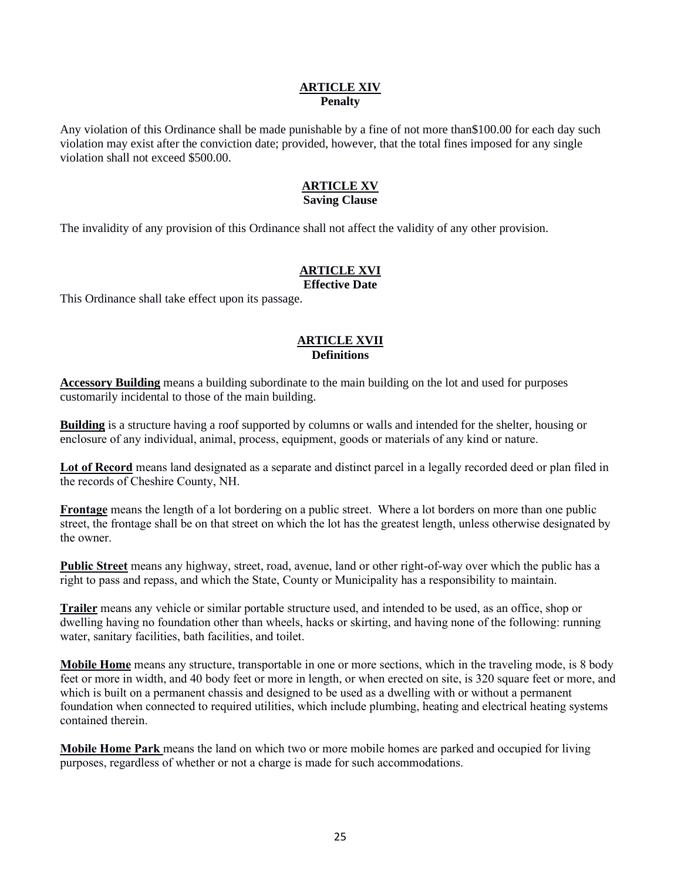### **ARTICLE XIV Penalty**

Any violation of this Ordinance shall be made punishable by a fine of not more than\$100.00 for each day such violation may exist after the conviction date; provided, however, that the total fines imposed for any single violation shall not exceed \$500.00.

# **ARTICLE XV Saving Clause**

The invalidity of any provision of this Ordinance shall not affect the validity of any other provision.

# **ARTICLE XVI**

### **Effective Date**

This Ordinance shall take effect upon its passage.

# **ARTICLE XVII Definitions**

**Accessory Building** means a building subordinate to the main building on the lot and used for purposes customarily incidental to those of the main building.

**Building** is a structure having a roof supported by columns or walls and intended for the shelter, housing or enclosure of any individual, animal, process, equipment, goods or materials of any kind or nature.

**Lot of Record** means land designated as a separate and distinct parcel in a legally recorded deed or plan filed in the records of Cheshire County, NH.

**Frontage** means the length of a lot bordering on a public street. Where a lot borders on more than one public street, the frontage shall be on that street on which the lot has the greatest length, unless otherwise designated by the owner.

**Public Street** means any highway, street, road, avenue, land or other right-of-way over which the public has a right to pass and repass, and which the State, County or Municipality has a responsibility to maintain.

**Trailer** means any vehicle or similar portable structure used, and intended to be used, as an office, shop or dwelling having no foundation other than wheels, hacks or skirting, and having none of the following: running water, sanitary facilities, bath facilities, and toilet.

**Mobile Home** means any structure, transportable in one or more sections, which in the traveling mode, is 8 body feet or more in width, and 40 body feet or more in length, or when erected on site, is 320 square feet or more, and which is built on a permanent chassis and designed to be used as a dwelling with or without a permanent foundation when connected to required utilities, which include plumbing, heating and electrical heating systems contained therein.

**Mobile Home Park** means the land on which two or more mobile homes are parked and occupied for living purposes, regardless of whether or not a charge is made for such accommodations.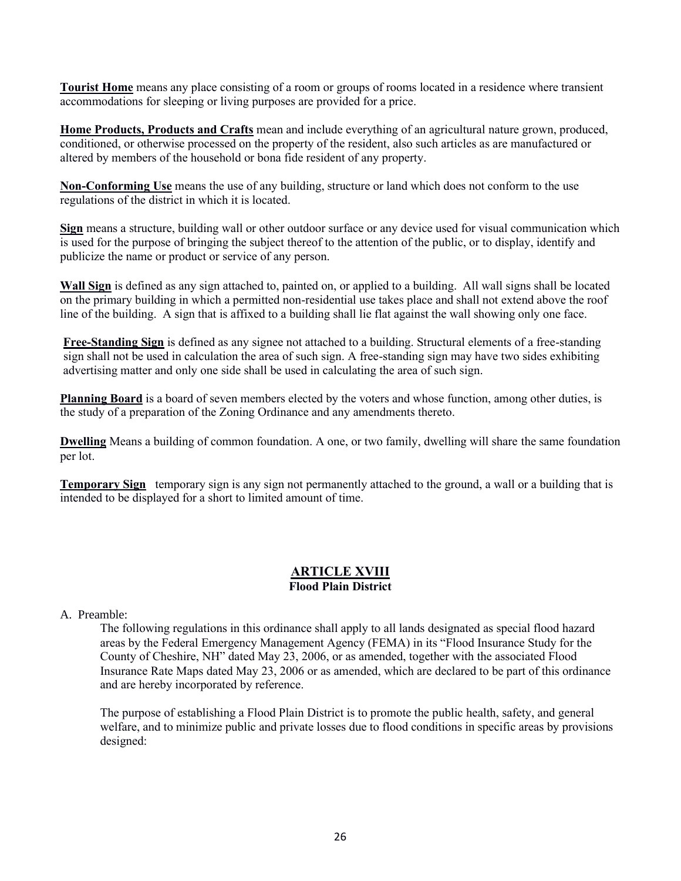**Tourist Home** means any place consisting of a room or groups of rooms located in a residence where transient accommodations for sleeping or living purposes are provided for a price.

**Home Products, Products and Crafts** mean and include everything of an agricultural nature grown, produced, conditioned, or otherwise processed on the property of the resident, also such articles as are manufactured or altered by members of the household or bona fide resident of any property.

**Non-Conforming Use** means the use of any building, structure or land which does not conform to the use regulations of the district in which it is located.

**Sign** means a structure, building wall or other outdoor surface or any device used for visual communication which is used for the purpose of bringing the subject thereof to the attention of the public, or to display, identify and publicize the name or product or service of any person.

**Wall Sign** is defined as any sign attached to, painted on, or applied to a building. All wall signs shall be located on the primary building in which a permitted non-residential use takes place and shall not extend above the roof line of the building. A sign that is affixed to a building shall lie flat against the wall showing only one face.

**Free-Standing Sign** is defined as any signee not attached to a building. Structural elements of a free-standing sign shall not be used in calculation the area of such sign. A free-standing sign may have two sides exhibiting advertising matter and only one side shall be used in calculating the area of such sign.

**Planning Board** is a board of seven members elected by the voters and whose function, among other duties, is the study of a preparation of the Zoning Ordinance and any amendments thereto.

**Dwelling** Means a building of common foundation. A one, or two family, dwelling will share the same foundation per lot.

**Temporary Sign** temporary sign is any sign not permanently attached to the ground, a wall or a building that is intended to be displayed for a short to limited amount of time.

# **ARTICLE XVIII Flood Plain District**

# A. Preamble:

The following regulations in this ordinance shall apply to all lands designated as special flood hazard areas by the Federal Emergency Management Agency (FEMA) in its "Flood Insurance Study for the County of Cheshire, NH" dated May 23, 2006, or as amended, together with the associated Flood Insurance Rate Maps dated May 23, 2006 or as amended, which are declared to be part of this ordinance and are hereby incorporated by reference.

The purpose of establishing a Flood Plain District is to promote the public health, safety, and general welfare, and to minimize public and private losses due to flood conditions in specific areas by provisions designed: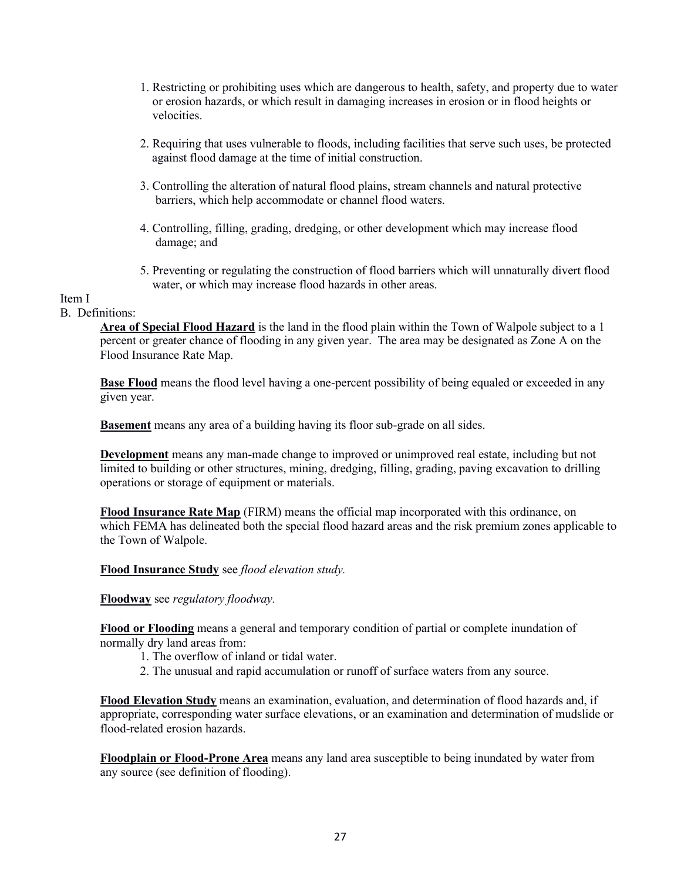- 1. Restricting or prohibiting uses which are dangerous to health, safety, and property due to water or erosion hazards, or which result in damaging increases in erosion or in flood heights or velocities.
- 2. Requiring that uses vulnerable to floods, including facilities that serve such uses, be protected against flood damage at the time of initial construction.
- 3. Controlling the alteration of natural flood plains, stream channels and natural protective barriers, which help accommodate or channel flood waters.
- 4. Controlling, filling, grading, dredging, or other development which may increase flood damage; and
- 5. Preventing or regulating the construction of flood barriers which will unnaturally divert flood water, or which may increase flood hazards in other areas.

# Item I

### B. Definitions:

**Area of Special Flood Hazard** is the land in the flood plain within the Town of Walpole subject to a 1 percent or greater chance of flooding in any given year. The area may be designated as Zone A on the Flood Insurance Rate Map.

**Base Flood** means the flood level having a one-percent possibility of being equaled or exceeded in any given year.

**Basement** means any area of a building having its floor sub-grade on all sides.

**Development** means any man-made change to improved or unimproved real estate, including but not limited to building or other structures, mining, dredging, filling, grading, paving excavation to drilling operations or storage of equipment or materials.

**Flood Insurance Rate Map** (FIRM) means the official map incorporated with this ordinance, on which FEMA has delineated both the special flood hazard areas and the risk premium zones applicable to the Town of Walpole.

**Flood Insurance Study** see *flood elevation study.*

**Floodway** see *regulatory floodway.*

**Flood or Flooding** means a general and temporary condition of partial or complete inundation of normally dry land areas from:

- 1. The overflow of inland or tidal water.
- 2. The unusual and rapid accumulation or runoff of surface waters from any source.

**Flood Elevation Study** means an examination, evaluation, and determination of flood hazards and, if appropriate, corresponding water surface elevations, or an examination and determination of mudslide or flood-related erosion hazards.

**Floodplain or Flood-Prone Area** means any land area susceptible to being inundated by water from any source (see definition of flooding).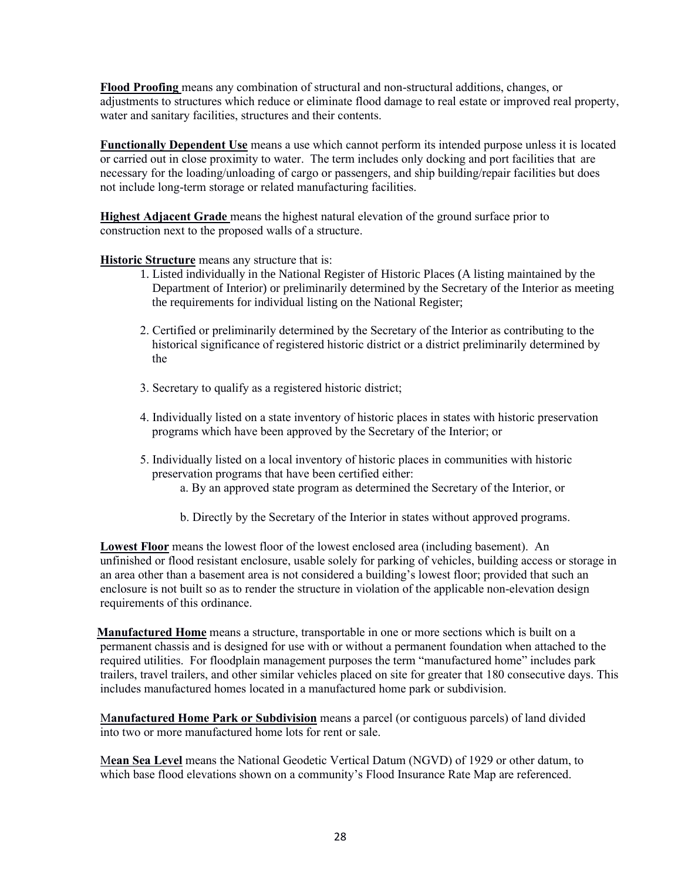**Flood Proofing** means any combination of structural and non-structural additions, changes, or adjustments to structures which reduce or eliminate flood damage to real estate or improved real property, water and sanitary facilities, structures and their contents.

**Functionally Dependent Use** means a use which cannot perform its intended purpose unless it is located or carried out in close proximity to water. The term includes only docking and port facilities that are necessary for the loading/unloading of cargo or passengers, and ship building/repair facilities but does not include long-term storage or related manufacturing facilities.

**Highest Adjacent Grade** means the highest natural elevation of the ground surface prior to construction next to the proposed walls of a structure.

**Historic Structure** means any structure that is:

- 1. Listed individually in the National Register of Historic Places (A listing maintained by the Department of Interior) or preliminarily determined by the Secretary of the Interior as meeting the requirements for individual listing on the National Register;
- 2. Certified or preliminarily determined by the Secretary of the Interior as contributing to the historical significance of registered historic district or a district preliminarily determined by the
- 3. Secretary to qualify as a registered historic district;
- 4. Individually listed on a state inventory of historic places in states with historic preservation programs which have been approved by the Secretary of the Interior; or
- 5. Individually listed on a local inventory of historic places in communities with historic preservation programs that have been certified either:
	- a. By an approved state program as determined the Secretary of the Interior, or
	- b. Directly by the Secretary of the Interior in states without approved programs.

**Lowest Floor** means the lowest floor of the lowest enclosed area (including basement). An unfinished or flood resistant enclosure, usable solely for parking of vehicles, building access or storage in an area other than a basement area is not considered a building's lowest floor; provided that such an enclosure is not built so as to render the structure in violation of the applicable non-elevation design requirements of this ordinance.

 **Manufactured Home** means a structure, transportable in one or more sections which is built on a permanent chassis and is designed for use with or without a permanent foundation when attached to the required utilities. For floodplain management purposes the term "manufactured home" includes park trailers, travel trailers, and other similar vehicles placed on site for greater that 180 consecutive days. This includes manufactured homes located in a manufactured home park or subdivision.

M**anufactured Home Park or Subdivision** means a parcel (or contiguous parcels) of land divided into two or more manufactured home lots for rent or sale.

M**ean Sea Level** means the National Geodetic Vertical Datum (NGVD) of 1929 or other datum, to which base flood elevations shown on a community's Flood Insurance Rate Map are referenced.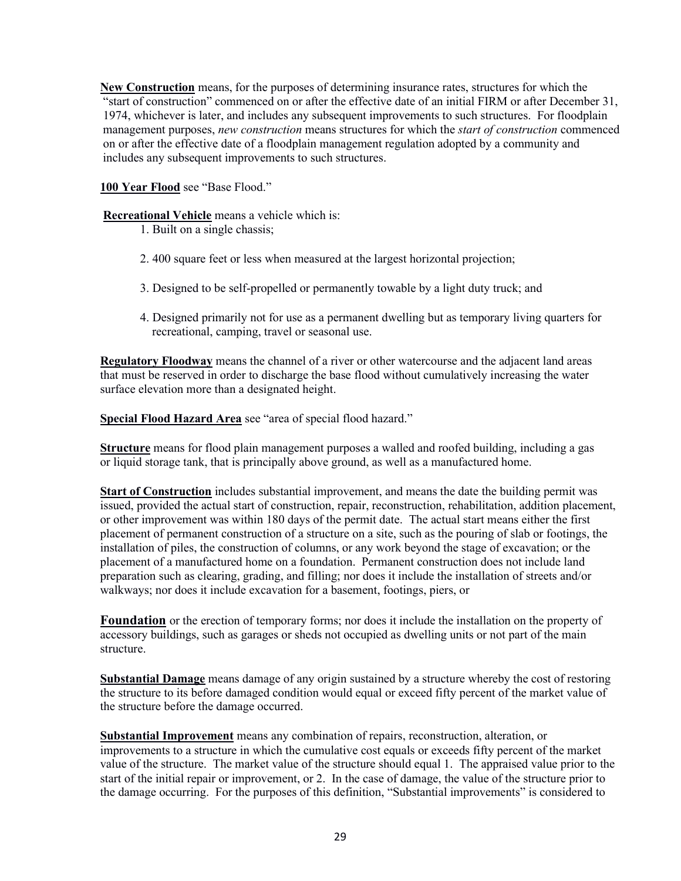**New Construction** means, for the purposes of determining insurance rates, structures for which the "start of construction" commenced on or after the effective date of an initial FIRM or after December 31, 1974, whichever is later, and includes any subsequent improvements to such structures. For floodplain management purposes, *new construction* means structures for which the *start of construction* commenced on or after the effective date of a floodplain management regulation adopted by a community and includes any subsequent improvements to such structures.

**100 Year Flood** see "Base Flood."

**Recreational Vehicle** means a vehicle which is:

- 1. Built on a single chassis;
- 2. 400 square feet or less when measured at the largest horizontal projection;
- 3. Designed to be self-propelled or permanently towable by a light duty truck; and
- 4. Designed primarily not for use as a permanent dwelling but as temporary living quarters for recreational, camping, travel or seasonal use.

**Regulatory Floodway** means the channel of a river or other watercourse and the adjacent land areas that must be reserved in order to discharge the base flood without cumulatively increasing the water surface elevation more than a designated height.

**Special Flood Hazard Area** see "area of special flood hazard."

**Structure** means for flood plain management purposes a walled and roofed building, including a gas or liquid storage tank, that is principally above ground, as well as a manufactured home.

**Start of Construction** includes substantial improvement, and means the date the building permit was issued, provided the actual start of construction, repair, reconstruction, rehabilitation, addition placement, or other improvement was within 180 days of the permit date. The actual start means either the first placement of permanent construction of a structure on a site, such as the pouring of slab or footings, the installation of piles, the construction of columns, or any work beyond the stage of excavation; or the placement of a manufactured home on a foundation. Permanent construction does not include land preparation such as clearing, grading, and filling; nor does it include the installation of streets and/or walkways; nor does it include excavation for a basement, footings, piers, or

**Foundation** or the erection of temporary forms; nor does it include the installation on the property of accessory buildings, such as garages or sheds not occupied as dwelling units or not part of the main structure.

**Substantial Damage** means damage of any origin sustained by a structure whereby the cost of restoring the structure to its before damaged condition would equal or exceed fifty percent of the market value of the structure before the damage occurred.

**Substantial Improvement** means any combination of repairs, reconstruction, alteration, or improvements to a structure in which the cumulative cost equals or exceeds fifty percent of the market value of the structure. The market value of the structure should equal 1. The appraised value prior to the start of the initial repair or improvement, or 2. In the case of damage, the value of the structure prior to the damage occurring. For the purposes of this definition, "Substantial improvements" is considered to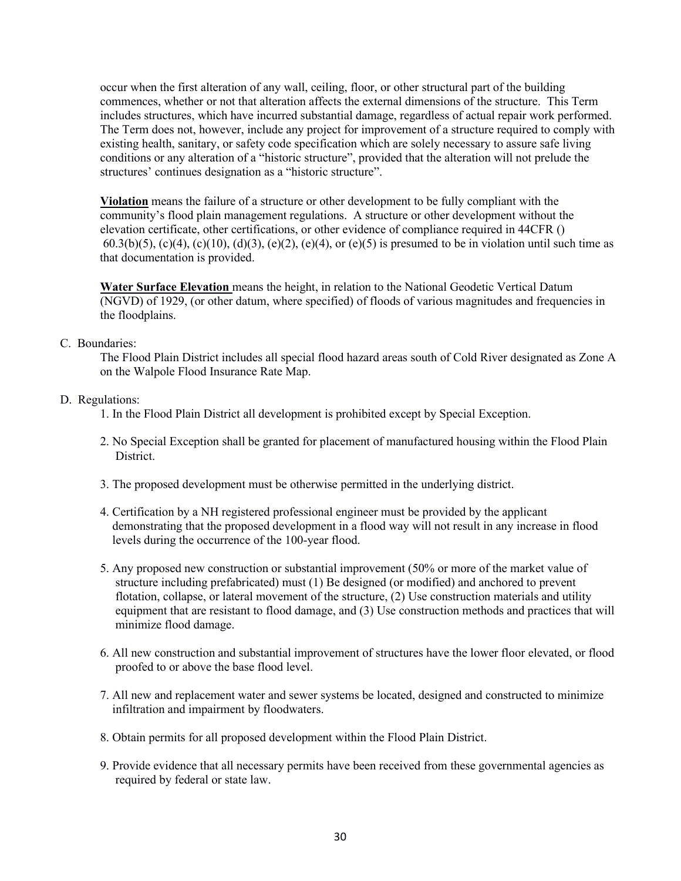occur when the first alteration of any wall, ceiling, floor, or other structural part of the building commences, whether or not that alteration affects the external dimensions of the structure. This Term includes structures, which have incurred substantial damage, regardless of actual repair work performed. The Term does not, however, include any project for improvement of a structure required to comply with existing health, sanitary, or safety code specification which are solely necessary to assure safe living conditions or any alteration of a "historic structure", provided that the alteration will not prelude the structures' continues designation as a "historic structure".

**Violation** means the failure of a structure or other development to be fully compliant with the community's flood plain management regulations. A structure or other development without the elevation certificate, other certifications, or other evidence of compliance required in 44CFR () 60.3(b)(5), (c)(4), (c)(10), (d)(3), (e)(2), (e)(4), or (e)(5) is presumed to be in violation until such time as that documentation is provided.

**Water Surface Elevation** means the height, in relation to the National Geodetic Vertical Datum (NGVD) of 1929, (or other datum, where specified) of floods of various magnitudes and frequencies in the floodplains.

# C. Boundaries:

The Flood Plain District includes all special flood hazard areas south of Cold River designated as Zone A on the Walpole Flood Insurance Rate Map.

# D. Regulations:

- 1. In the Flood Plain District all development is prohibited except by Special Exception.
- 2. No Special Exception shall be granted for placement of manufactured housing within the Flood Plain District.
- 3. The proposed development must be otherwise permitted in the underlying district.
- 4. Certification by a NH registered professional engineer must be provided by the applicant demonstrating that the proposed development in a flood way will not result in any increase in flood levels during the occurrence of the 100-year flood.
- 5. Any proposed new construction or substantial improvement (50% or more of the market value of structure including prefabricated) must (1) Be designed (or modified) and anchored to prevent flotation, collapse, or lateral movement of the structure, (2) Use construction materials and utility equipment that are resistant to flood damage, and (3) Use construction methods and practices that will minimize flood damage.
- 6. All new construction and substantial improvement of structures have the lower floor elevated, or flood proofed to or above the base flood level.
- 7. All new and replacement water and sewer systems be located, designed and constructed to minimize infiltration and impairment by floodwaters.
- 8. Obtain permits for all proposed development within the Flood Plain District.
- 9. Provide evidence that all necessary permits have been received from these governmental agencies as required by federal or state law.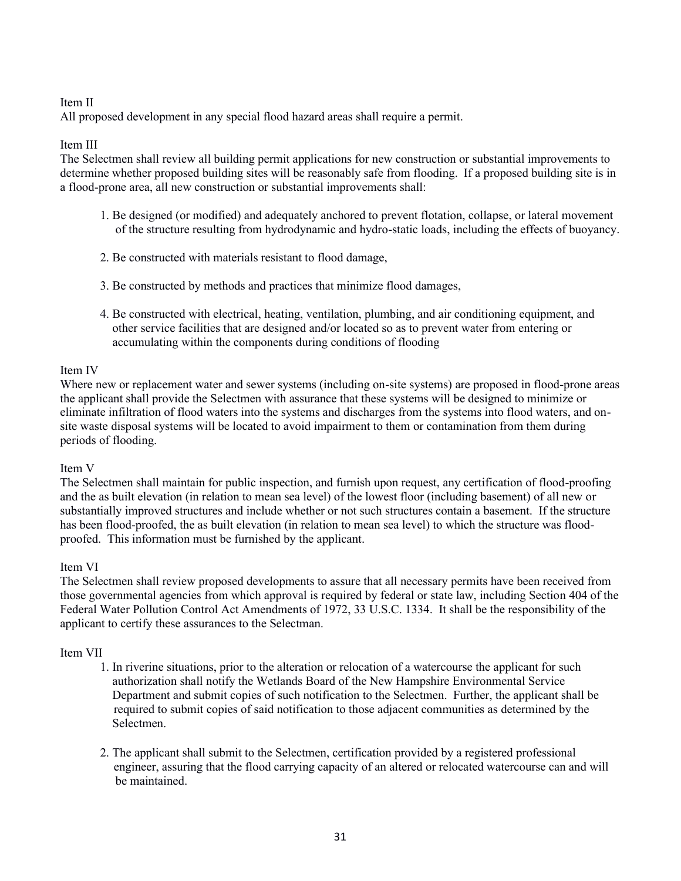# Item II

All proposed development in any special flood hazard areas shall require a permit.

### Item III

The Selectmen shall review all building permit applications for new construction or substantial improvements to determine whether proposed building sites will be reasonably safe from flooding. If a proposed building site is in a flood-prone area, all new construction or substantial improvements shall:

- 1. Be designed (or modified) and adequately anchored to prevent flotation, collapse, or lateral movement of the structure resulting from hydrodynamic and hydro-static loads, including the effects of buoyancy.
- 2. Be constructed with materials resistant to flood damage,
- 3. Be constructed by methods and practices that minimize flood damages,
- 4. Be constructed with electrical, heating, ventilation, plumbing, and air conditioning equipment, and other service facilities that are designed and/or located so as to prevent water from entering or accumulating within the components during conditions of flooding

# Item IV

Where new or replacement water and sewer systems (including on-site systems) are proposed in flood-prone areas the applicant shall provide the Selectmen with assurance that these systems will be designed to minimize or eliminate infiltration of flood waters into the systems and discharges from the systems into flood waters, and onsite waste disposal systems will be located to avoid impairment to them or contamination from them during periods of flooding.

### Item V

The Selectmen shall maintain for public inspection, and furnish upon request, any certification of flood-proofing and the as built elevation (in relation to mean sea level) of the lowest floor (including basement) of all new or substantially improved structures and include whether or not such structures contain a basement. If the structure has been flood-proofed, the as built elevation (in relation to mean sea level) to which the structure was floodproofed. This information must be furnished by the applicant.

# Item VI

The Selectmen shall review proposed developments to assure that all necessary permits have been received from those governmental agencies from which approval is required by federal or state law, including Section 404 of the Federal Water Pollution Control Act Amendments of 1972, 33 U.S.C. 1334. It shall be the responsibility of the applicant to certify these assurances to the Selectman.

# Item VII

- 1. In riverine situations, prior to the alteration or relocation of a watercourse the applicant for such authorization shall notify the Wetlands Board of the New Hampshire Environmental Service Department and submit copies of such notification to the Selectmen. Further, the applicant shall be required to submit copies of said notification to those adjacent communities as determined by the Selectmen.
- 2. The applicant shall submit to the Selectmen, certification provided by a registered professional engineer, assuring that the flood carrying capacity of an altered or relocated watercourse can and will be maintained.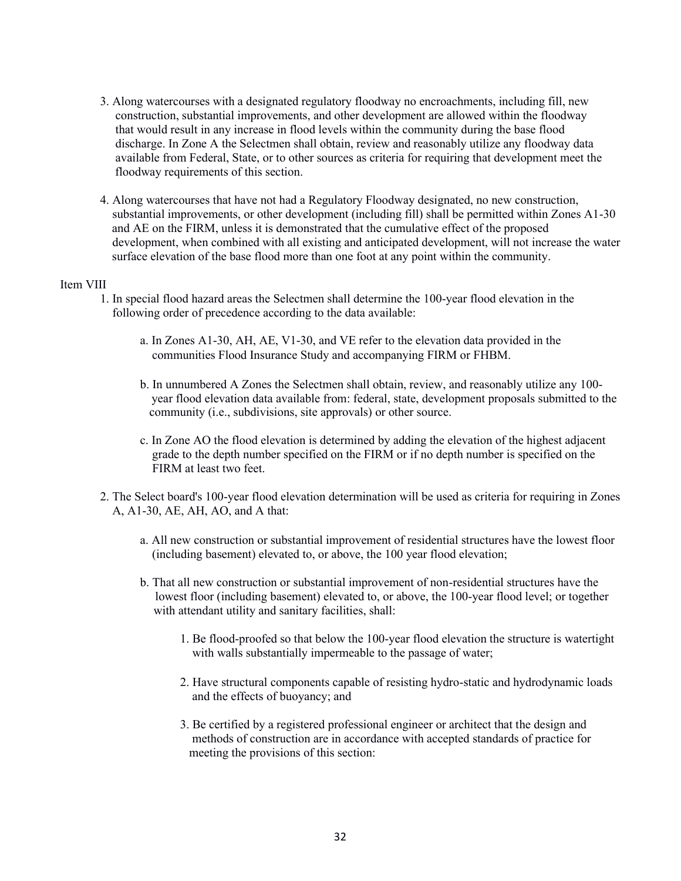- 3. Along watercourses with a designated regulatory floodway no encroachments, including fill, new construction, substantial improvements, and other development are allowed within the floodway that would result in any increase in flood levels within the community during the base flood discharge. In Zone A the Selectmen shall obtain, review and reasonably utilize any floodway data available from Federal, State, or to other sources as criteria for requiring that development meet the floodway requirements of this section.
- 4. Along watercourses that have not had a Regulatory Floodway designated, no new construction, substantial improvements, or other development (including fill) shall be permitted within Zones A1-30 and AE on the FIRM, unless it is demonstrated that the cumulative effect of the proposed development, when combined with all existing and anticipated development, will not increase the water surface elevation of the base flood more than one foot at any point within the community.

### Item VIII

- 1. In special flood hazard areas the Selectmen shall determine the 100-year flood elevation in the following order of precedence according to the data available:
	- a. In Zones A1-30, AH, AE, V1-30, and VE refer to the elevation data provided in the communities Flood Insurance Study and accompanying FIRM or FHBM.
	- b. In unnumbered A Zones the Selectmen shall obtain, review, and reasonably utilize any 100 year flood elevation data available from: federal, state, development proposals submitted to the community (i.e., subdivisions, site approvals) or other source.
	- c. In Zone AO the flood elevation is determined by adding the elevation of the highest adjacent grade to the depth number specified on the FIRM or if no depth number is specified on the FIRM at least two feet.
- 2. The Select board's 100-year flood elevation determination will be used as criteria for requiring in Zones A, A1-30, AE, AH, AO, and A that:
	- a. All new construction or substantial improvement of residential structures have the lowest floor (including basement) elevated to, or above, the 100 year flood elevation;
	- b. That all new construction or substantial improvement of non-residential structures have the lowest floor (including basement) elevated to, or above, the 100-year flood level; or together with attendant utility and sanitary facilities, shall:
		- 1. Be flood-proofed so that below the 100-year flood elevation the structure is watertight with walls substantially impermeable to the passage of water;
		- 2. Have structural components capable of resisting hydro-static and hydrodynamic loads and the effects of buoyancy; and
		- 3. Be certified by a registered professional engineer or architect that the design and methods of construction are in accordance with accepted standards of practice for meeting the provisions of this section: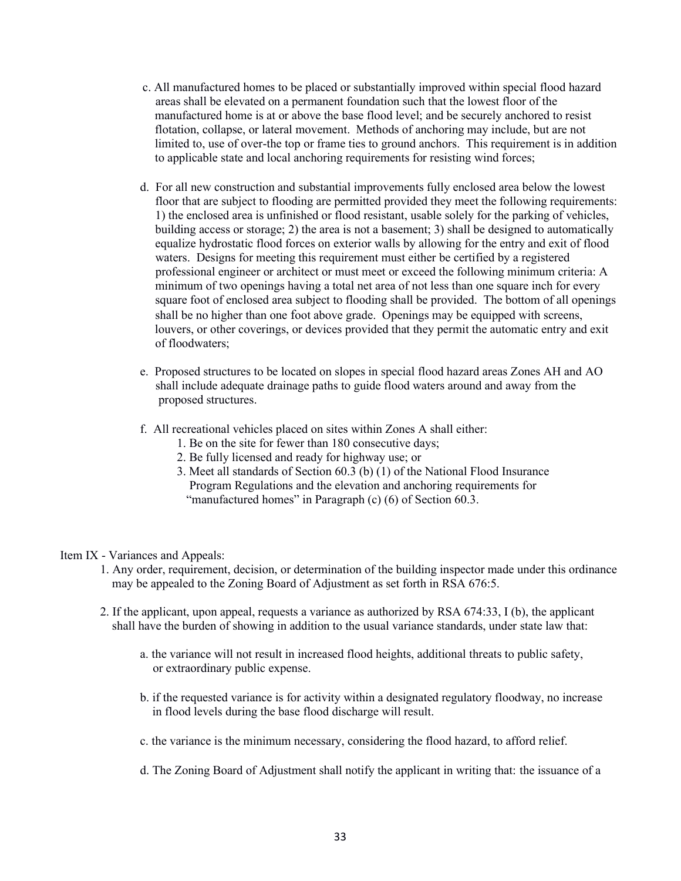- c. All manufactured homes to be placed or substantially improved within special flood hazard areas shall be elevated on a permanent foundation such that the lowest floor of the manufactured home is at or above the base flood level; and be securely anchored to resist flotation, collapse, or lateral movement. Methods of anchoring may include, but are not limited to, use of over-the top or frame ties to ground anchors. This requirement is in addition to applicable state and local anchoring requirements for resisting wind forces;
- d. For all new construction and substantial improvements fully enclosed area below the lowest floor that are subject to flooding are permitted provided they meet the following requirements: 1) the enclosed area is unfinished or flood resistant, usable solely for the parking of vehicles, building access or storage; 2) the area is not a basement; 3) shall be designed to automatically equalize hydrostatic flood forces on exterior walls by allowing for the entry and exit of flood waters. Designs for meeting this requirement must either be certified by a registered professional engineer or architect or must meet or exceed the following minimum criteria: A minimum of two openings having a total net area of not less than one square inch for every square foot of enclosed area subject to flooding shall be provided. The bottom of all openings shall be no higher than one foot above grade. Openings may be equipped with screens, louvers, or other coverings, or devices provided that they permit the automatic entry and exit of floodwaters;
- e. Proposed structures to be located on slopes in special flood hazard areas Zones AH and AO shall include adequate drainage paths to guide flood waters around and away from the proposed structures.
- f. All recreational vehicles placed on sites within Zones A shall either:
	- 1. Be on the site for fewer than 180 consecutive days;
	- 2. Be fully licensed and ready for highway use; or
	- 3. Meet all standards of Section 60.3 (b) (1) of the National Flood Insurance Program Regulations and the elevation and anchoring requirements for "manufactured homes" in Paragraph (c) (6) of Section 60.3.

### Item IX - Variances and Appeals:

- 1. Any order, requirement, decision, or determination of the building inspector made under this ordinance may be appealed to the Zoning Board of Adjustment as set forth in RSA 676:5.
- 2. If the applicant, upon appeal, requests a variance as authorized by RSA 674:33, I (b), the applicant shall have the burden of showing in addition to the usual variance standards, under state law that:
	- a. the variance will not result in increased flood heights, additional threats to public safety, or extraordinary public expense.
	- b. if the requested variance is for activity within a designated regulatory floodway, no increase in flood levels during the base flood discharge will result.
	- c. the variance is the minimum necessary, considering the flood hazard, to afford relief.
	- d. The Zoning Board of Adjustment shall notify the applicant in writing that: the issuance of a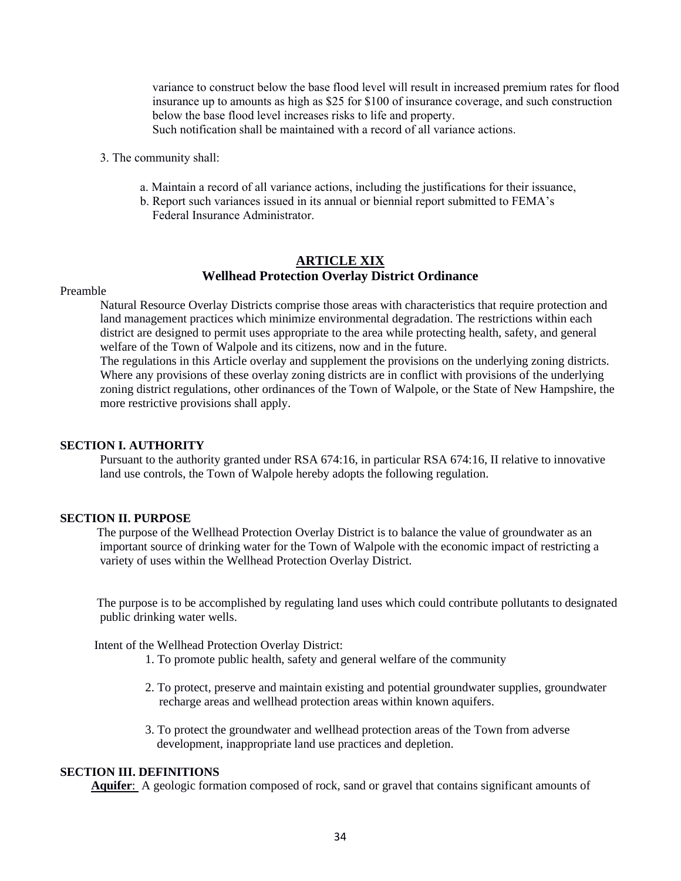variance to construct below the base flood level will result in increased premium rates for flood insurance up to amounts as high as \$25 for \$100 of insurance coverage, and such construction below the base flood level increases risks to life and property. Such notification shall be maintained with a record of all variance actions.

- 3. The community shall:
	- a. Maintain a record of all variance actions, including the justifications for their issuance,
	- b. Report such variances issued in its annual or biennial report submitted to FEMA's Federal Insurance Administrator.

# **ARTICLE XIX Wellhead Protection Overlay District Ordinance**

#### Preamble

Natural Resource Overlay Districts comprise those areas with characteristics that require protection and land management practices which minimize environmental degradation. The restrictions within each district are designed to permit uses appropriate to the area while protecting health, safety, and general welfare of the Town of Walpole and its citizens, now and in the future.

The regulations in this Article overlay and supplement the provisions on the underlying zoning districts. Where any provisions of these overlay zoning districts are in conflict with provisions of the underlying zoning district regulations, other ordinances of the Town of Walpole, or the State of New Hampshire, the more restrictive provisions shall apply.

#### **SECTION I. AUTHORITY**

 Pursuant to the authority granted under RSA 674:16, in particular RSA 674:16, II relative to innovative land use controls, the Town of Walpole hereby adopts the following regulation.

### **SECTION II. PURPOSE**

 The purpose of the Wellhead Protection Overlay District is to balance the value of groundwater as an important source of drinking water for the Town of Walpole with the economic impact of restricting a variety of uses within the Wellhead Protection Overlay District.

 The purpose is to be accomplished by regulating land uses which could contribute pollutants to designated public drinking water wells.

Intent of the Wellhead Protection Overlay District:

- 1. To promote public health, safety and general welfare of the community
- 2. To protect, preserve and maintain existing and potential groundwater supplies, groundwater recharge areas and wellhead protection areas within known aquifers.
- 3. To protect the groundwater and wellhead protection areas of the Town from adverse development, inappropriate land use practices and depletion.

### **SECTION III. DEFINITIONS**

**Aquifer**: A geologic formation composed of rock, sand or gravel that contains significant amounts of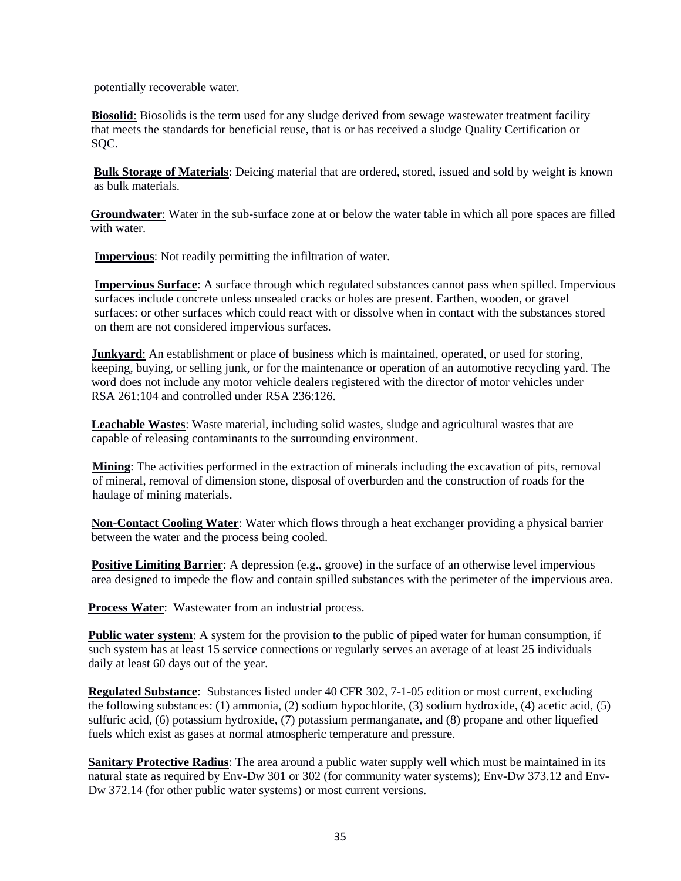potentially recoverable water.

 **Biosolid**: Biosolids is the term used for any sludge derived from sewage wastewater treatment facility that meets the standards for beneficial reuse, that is or has received a sludge Quality Certification or SQC.

 **Bulk Storage of Materials**: Deicing material that are ordered, stored, issued and sold by weight is known as bulk materials.

 **Groundwater**: Water in the sub-surface zone at or below the water table in which all pore spaces are filled with water.

**Impervious**: Not readily permitting the infiltration of water.

 **Impervious Surface**: A surface through which regulated substances cannot pass when spilled. Impervious surfaces include concrete unless unsealed cracks or holes are present. Earthen, wooden, or gravel surfaces: or other surfaces which could react with or dissolve when in contact with the substances stored on them are not considered impervious surfaces.

 **Junkyard**: An establishment or place of business which is maintained, operated, or used for storing, keeping, buying, or selling junk, or for the maintenance or operation of an automotive recycling yard. The word does not include any motor vehicle dealers registered with the director of motor vehicles under RSA 261:104 and controlled under RSA 236:126.

 **Leachable Wastes**: Waste material, including solid wastes, sludge and agricultural wastes that are capable of releasing contaminants to the surrounding environment.

 **Mining**: The activities performed in the extraction of minerals including the excavation of pits, removal of mineral, removal of dimension stone, disposal of overburden and the construction of roads for the haulage of mining materials.

 **Non-Contact Cooling Water**: Water which flows through a heat exchanger providing a physical barrier between the water and the process being cooled.

**Positive Limiting Barrier**: A depression (e.g., groove) in the surface of an otherwise level impervious area designed to impede the flow and contain spilled substances with the perimeter of the impervious area.

**Process Water**: Wastewater from an industrial process.

**Public water system**: A system for the provision to the public of piped water for human consumption, if such system has at least 15 service connections or regularly serves an average of at least 25 individuals daily at least 60 days out of the year.

**Regulated Substance**: Substances listed under 40 CFR 302, 7-1-05 edition or most current, excluding the following substances: (1) ammonia, (2) sodium hypochlorite, (3) sodium hydroxide, (4) acetic acid, (5) sulfuric acid, (6) potassium hydroxide, (7) potassium permanganate, and (8) propane and other liquefied fuels which exist as gases at normal atmospheric temperature and pressure.

**Sanitary Protective Radius**: The area around a public water supply well which must be maintained in its natural state as required by Env-Dw 301 or 302 (for community water systems); Env-Dw 373.12 and Env-Dw 372.14 (for other public water systems) or most current versions.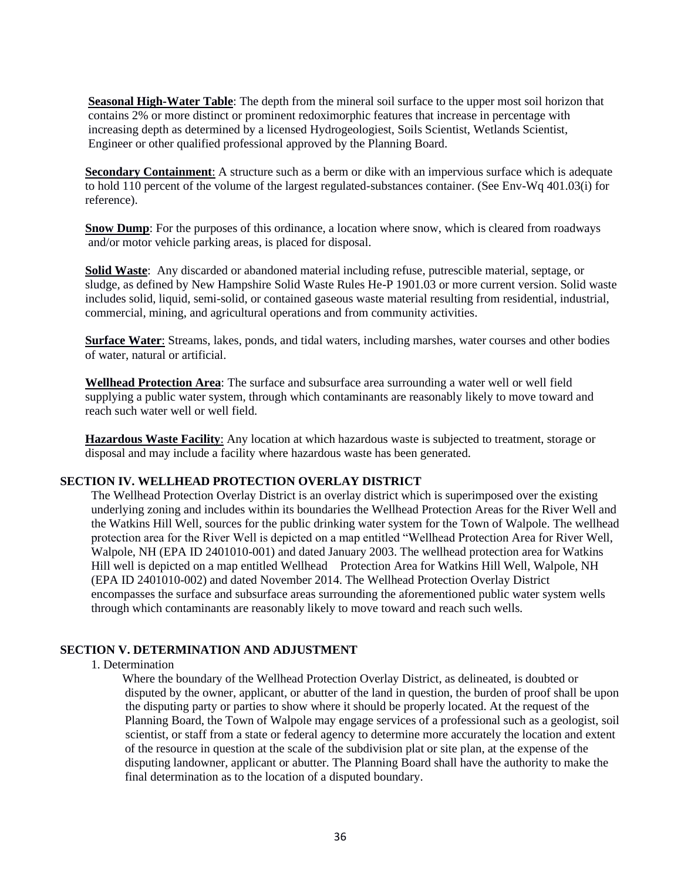**Seasonal High-Water Table**: The depth from the mineral soil surface to the upper most soil horizon that contains 2% or more distinct or prominent redoximorphic features that increase in percentage with increasing depth as determined by a licensed Hydrogeologiest, Soils Scientist, Wetlands Scientist, Engineer or other qualified professional approved by the Planning Board.

**Secondary Containment**: A structure such as a berm or dike with an impervious surface which is adequate to hold 110 percent of the volume of the largest regulated-substances container. (See Env-Wq 401.03(i) for reference).

**Snow Dump**: For the purposes of this ordinance, a location where snow, which is cleared from roadways and/or motor vehicle parking areas, is placed for disposal.

**Solid Waste**: Any discarded or abandoned material including refuse, putrescible material, septage, or sludge, as defined by New Hampshire Solid Waste Rules He-P 1901.03 or more current version. Solid waste includes solid, liquid, semi-solid, or contained gaseous waste material resulting from residential, industrial, commercial, mining, and agricultural operations and from community activities.

**Surface Water**: Streams, lakes, ponds, and tidal waters, including marshes, water courses and other bodies of water, natural or artificial.

**Wellhead Protection Area**: The surface and subsurface area surrounding a water well or well field supplying a public water system, through which contaminants are reasonably likely to move toward and reach such water well or well field.

**Hazardous Waste Facility**: Any location at which hazardous waste is subjected to treatment, storage or disposal and may include a facility where hazardous waste has been generated.

### **SECTION IV. WELLHEAD PROTECTION OVERLAY DISTRICT**

The Wellhead Protection Overlay District is an overlay district which is superimposed over the existing underlying zoning and includes within its boundaries the Wellhead Protection Areas for the River Well and the Watkins Hill Well, sources for the public drinking water system for the Town of Walpole. The wellhead protection area for the River Well is depicted on a map entitled "Wellhead Protection Area for River Well, Walpole, NH (EPA ID 2401010-001) and dated January 2003. The wellhead protection area for Watkins Hill well is depicted on a map entitled Wellhead Protection Area for Watkins Hill Well, Walpole, NH (EPA ID 2401010-002) and dated November 2014. The Wellhead Protection Overlay District encompasses the surface and subsurface areas surrounding the aforementioned public water system wells through which contaminants are reasonably likely to move toward and reach such wells.

### **SECTION V. DETERMINATION AND ADJUSTMENT**

1. Determination

Where the boundary of the Wellhead Protection Overlay District, as delineated, is doubted or disputed by the owner, applicant, or abutter of the land in question, the burden of proof shall be upon the disputing party or parties to show where it should be properly located. At the request of the Planning Board, the Town of Walpole may engage services of a professional such as a geologist, soil scientist, or staff from a state or federal agency to determine more accurately the location and extent of the resource in question at the scale of the subdivision plat or site plan, at the expense of the disputing landowner, applicant or abutter. The Planning Board shall have the authority to make the final determination as to the location of a disputed boundary.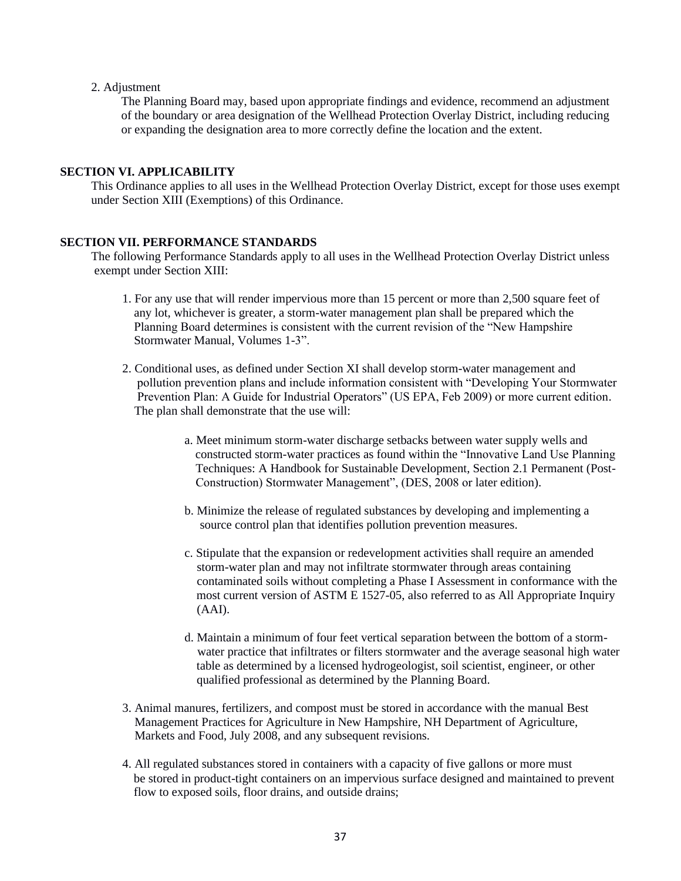#### 2. Adjustment

 The Planning Board may, based upon appropriate findings and evidence, recommend an adjustment of the boundary or area designation of the Wellhead Protection Overlay District, including reducing or expanding the designation area to more correctly define the location and the extent.

# **SECTION VI. APPLICABILITY**

This Ordinance applies to all uses in the Wellhead Protection Overlay District, except for those uses exempt under Section XIII (Exemptions) of this Ordinance.

### **SECTION VII. PERFORMANCE STANDARDS**

The following Performance Standards apply to all uses in the Wellhead Protection Overlay District unless exempt under Section XIII:

- 1. For any use that will render impervious more than 15 percent or more than 2,500 square feet of any lot, whichever is greater, a storm-water management plan shall be prepared which the Planning Board determines is consistent with the current revision of the "New Hampshire Stormwater Manual, Volumes 1-3".
- 2. Conditional uses, as defined under Section XI shall develop storm-water management and pollution prevention plans and include information consistent with "Developing Your Stormwater Prevention Plan: A Guide for Industrial Operators" (US EPA, Feb 2009) or more current edition. The plan shall demonstrate that the use will:
	- a. Meet minimum storm-water discharge setbacks between water supply wells and constructed storm-water practices as found within the "Innovative Land Use Planning Techniques: A Handbook for Sustainable Development, Section 2.1 Permanent (Post- Construction) Stormwater Management", (DES, 2008 or later edition).
	- b. Minimize the release of regulated substances by developing and implementing a source control plan that identifies pollution prevention measures.
	- c. Stipulate that the expansion or redevelopment activities shall require an amended storm-water plan and may not infiltrate stormwater through areas containing contaminated soils without completing a Phase I Assessment in conformance with the most current version of ASTM E 1527-05, also referred to as All Appropriate Inquiry (AAI).
	- d. Maintain a minimum of four feet vertical separation between the bottom of a storm water practice that infiltrates or filters stormwater and the average seasonal high water table as determined by a licensed hydrogeologist, soil scientist, engineer, or other qualified professional as determined by the Planning Board.
- 3. Animal manures, fertilizers, and compost must be stored in accordance with the manual Best Management Practices for Agriculture in New Hampshire, NH Department of Agriculture, Markets and Food, July 2008, and any subsequent revisions.
- 4. All regulated substances stored in containers with a capacity of five gallons or more must be stored in product-tight containers on an impervious surface designed and maintained to prevent flow to exposed soils, floor drains, and outside drains;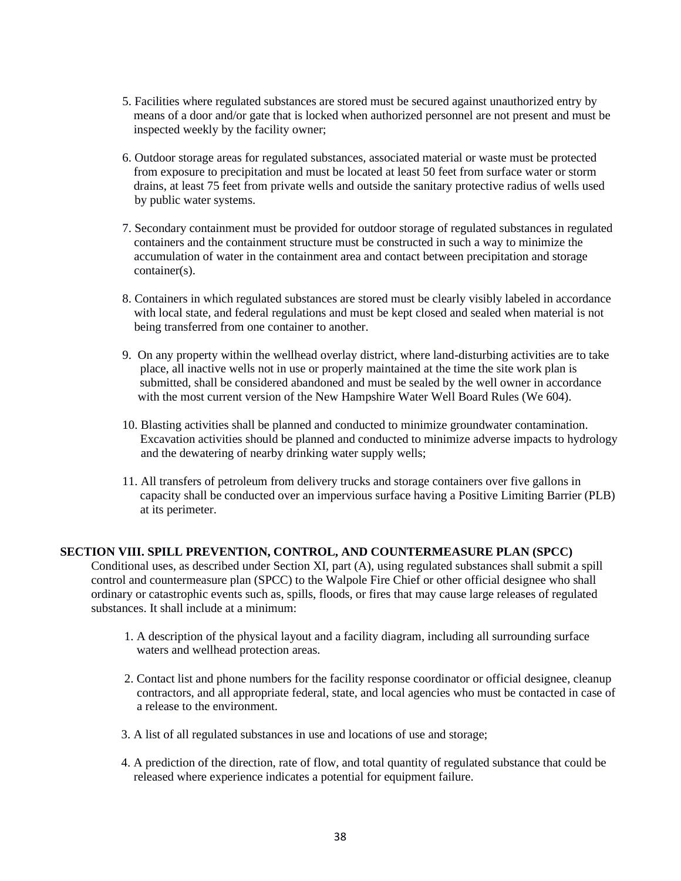- 5. Facilities where regulated substances are stored must be secured against unauthorized entry by means of a door and/or gate that is locked when authorized personnel are not present and must be inspected weekly by the facility owner;
- 6. Outdoor storage areas for regulated substances, associated material or waste must be protected from exposure to precipitation and must be located at least 50 feet from surface water or storm drains, at least 75 feet from private wells and outside the sanitary protective radius of wells used by public water systems.
- 7. Secondary containment must be provided for outdoor storage of regulated substances in regulated containers and the containment structure must be constructed in such a way to minimize the accumulation of water in the containment area and contact between precipitation and storage container(s).
- 8. Containers in which regulated substances are stored must be clearly visibly labeled in accordance with local state, and federal regulations and must be kept closed and sealed when material is not being transferred from one container to another.
- 9. On any property within the wellhead overlay district, where land-disturbing activities are to take place, all inactive wells not in use or properly maintained at the time the site work plan is submitted, shall be considered abandoned and must be sealed by the well owner in accordance with the most current version of the New Hampshire Water Well Board Rules (We 604).
- 10. Blasting activities shall be planned and conducted to minimize groundwater contamination. Excavation activities should be planned and conducted to minimize adverse impacts to hydrology and the dewatering of nearby drinking water supply wells;
- 11. All transfers of petroleum from delivery trucks and storage containers over five gallons in capacity shall be conducted over an impervious surface having a Positive Limiting Barrier (PLB) at its perimeter.

# **SECTION VIII. SPILL PREVENTION, CONTROL, AND COUNTERMEASURE PLAN (SPCC)**

Conditional uses, as described under Section XI, part (A), using regulated substances shall submit a spill control and countermeasure plan (SPCC) to the Walpole Fire Chief or other official designee who shall ordinary or catastrophic events such as, spills, floods, or fires that may cause large releases of regulated substances. It shall include at a minimum:

- 1. A description of the physical layout and a facility diagram, including all surrounding surface waters and wellhead protection areas.
- 2. Contact list and phone numbers for the facility response coordinator or official designee, cleanup contractors, and all appropriate federal, state, and local agencies who must be contacted in case of a release to the environment.
- 3. A list of all regulated substances in use and locations of use and storage;
- 4. A prediction of the direction, rate of flow, and total quantity of regulated substance that could be released where experience indicates a potential for equipment failure.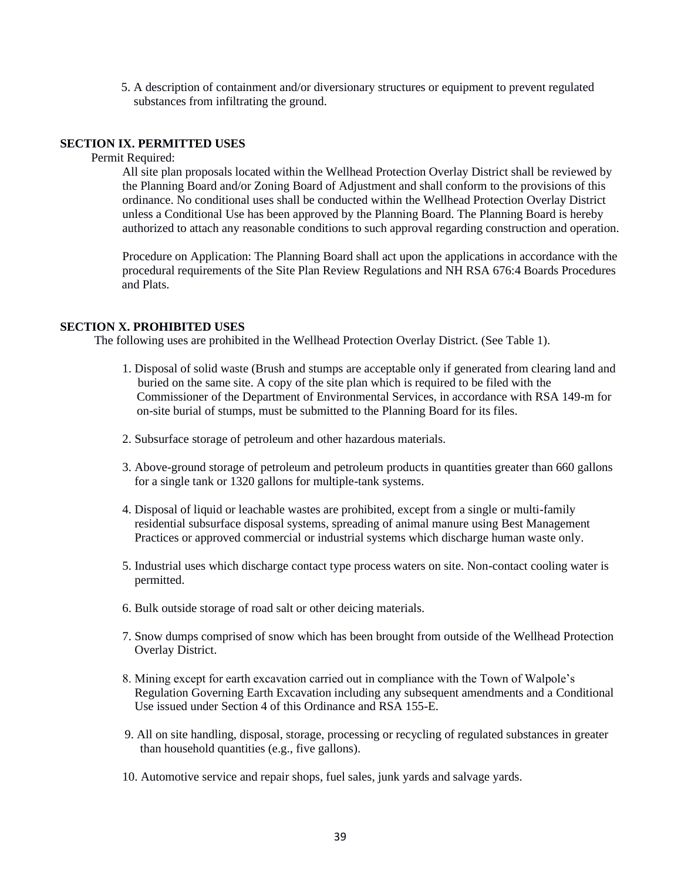5. A description of containment and/or diversionary structures or equipment to prevent regulated substances from infiltrating the ground.

### **SECTION IX. PERMITTED USES**

Permit Required:

All site plan proposals located within the Wellhead Protection Overlay District shall be reviewed by the Planning Board and/or Zoning Board of Adjustment and shall conform to the provisions of this ordinance. No conditional uses shall be conducted within the Wellhead Protection Overlay District unless a Conditional Use has been approved by the Planning Board. The Planning Board is hereby authorized to attach any reasonable conditions to such approval regarding construction and operation.

Procedure on Application: The Planning Board shall act upon the applications in accordance with the procedural requirements of the Site Plan Review Regulations and NH RSA 676:4 Boards Procedures and Plats.

### **SECTION X. PROHIBITED USES**

The following uses are prohibited in the Wellhead Protection Overlay District. (See Table 1).

- 1. Disposal of solid waste (Brush and stumps are acceptable only if generated from clearing land and buried on the same site. A copy of the site plan which is required to be filed with the Commissioner of the Department of Environmental Services, in accordance with RSA 149-m for on-site burial of stumps, must be submitted to the Planning Board for its files.
- 2. Subsurface storage of petroleum and other hazardous materials.
- 3. Above-ground storage of petroleum and petroleum products in quantities greater than 660 gallons for a single tank or 1320 gallons for multiple-tank systems.
- 4. Disposal of liquid or leachable wastes are prohibited, except from a single or multi-family residential subsurface disposal systems, spreading of animal manure using Best Management Practices or approved commercial or industrial systems which discharge human waste only.
- 5. Industrial uses which discharge contact type process waters on site. Non-contact cooling water is permitted.
- 6. Bulk outside storage of road salt or other deicing materials.
- 7. Snow dumps comprised of snow which has been brought from outside of the Wellhead Protection Overlay District.
- 8. Mining except for earth excavation carried out in compliance with the Town of Walpole's Regulation Governing Earth Excavation including any subsequent amendments and a Conditional Use issued under Section 4 of this Ordinance and RSA 155-E.
- 9. All on site handling, disposal, storage, processing or recycling of regulated substances in greater than household quantities (e.g., five gallons).
- 10. Automotive service and repair shops, fuel sales, junk yards and salvage yards.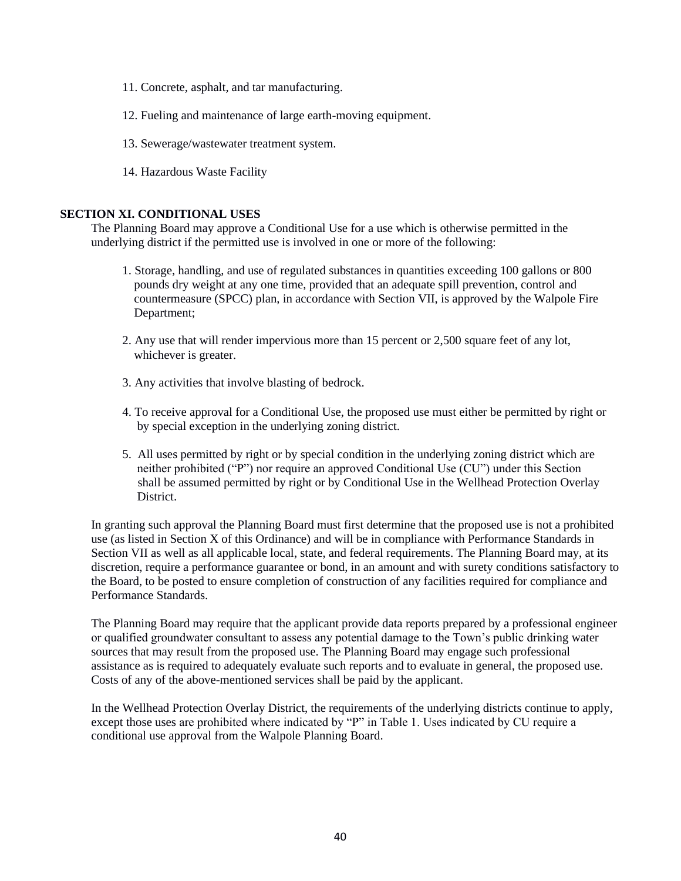- 11. Concrete, asphalt, and tar manufacturing.
- 12. Fueling and maintenance of large earth-moving equipment.
- 13. Sewerage/wastewater treatment system.
- 14. Hazardous Waste Facility

### **SECTION XI. CONDITIONAL USES**

The Planning Board may approve a Conditional Use for a use which is otherwise permitted in the underlying district if the permitted use is involved in one or more of the following:

- 1. Storage, handling, and use of regulated substances in quantities exceeding 100 gallons or 800 pounds dry weight at any one time, provided that an adequate spill prevention, control and countermeasure (SPCC) plan, in accordance with Section VII, is approved by the Walpole Fire Department;
- 2. Any use that will render impervious more than 15 percent or 2,500 square feet of any lot, whichever is greater.
- 3. Any activities that involve blasting of bedrock.
- 4. To receive approval for a Conditional Use, the proposed use must either be permitted by right or by special exception in the underlying zoning district.
- 5. All uses permitted by right or by special condition in the underlying zoning district which are neither prohibited ("P") nor require an approved Conditional Use (CU") under this Section shall be assumed permitted by right or by Conditional Use in the Wellhead Protection Overlay District.

In granting such approval the Planning Board must first determine that the proposed use is not a prohibited use (as listed in Section X of this Ordinance) and will be in compliance with Performance Standards in Section VII as well as all applicable local, state, and federal requirements. The Planning Board may, at its discretion, require a performance guarantee or bond, in an amount and with surety conditions satisfactory to the Board, to be posted to ensure completion of construction of any facilities required for compliance and Performance Standards.

The Planning Board may require that the applicant provide data reports prepared by a professional engineer or qualified groundwater consultant to assess any potential damage to the Town's public drinking water sources that may result from the proposed use. The Planning Board may engage such professional assistance as is required to adequately evaluate such reports and to evaluate in general, the proposed use. Costs of any of the above-mentioned services shall be paid by the applicant.

In the Wellhead Protection Overlay District, the requirements of the underlying districts continue to apply, except those uses are prohibited where indicated by "P" in Table 1. Uses indicated by CU require a conditional use approval from the Walpole Planning Board.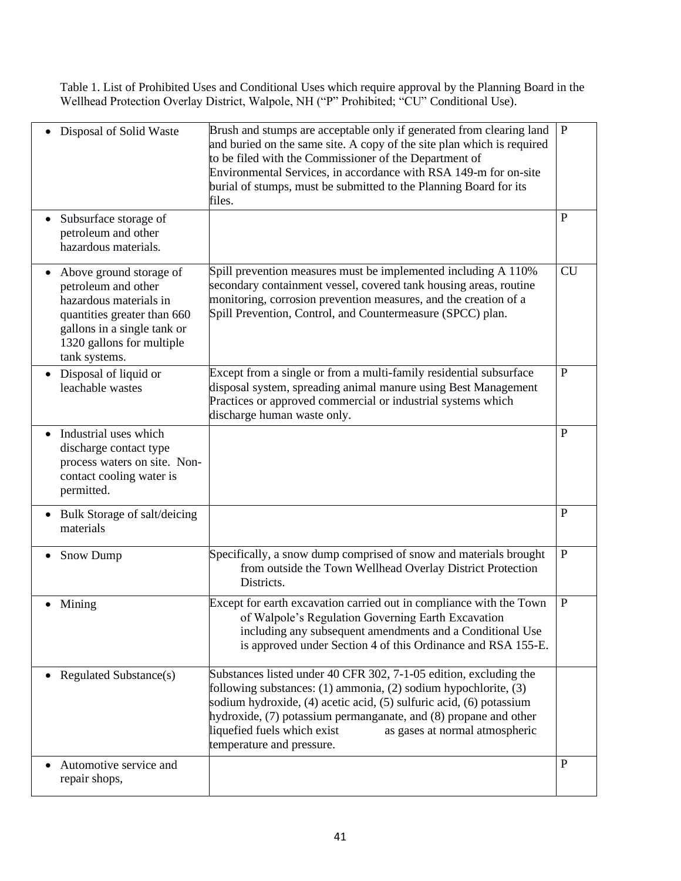Table 1. List of Prohibited Uses and Conditional Uses which require approval by the Planning Board in the Wellhead Protection Overlay District, Walpole, NH ("P" Prohibited; "CU" Conditional Use).

| Disposal of Solid Waste                                                                                                                                                              | Brush and stumps are acceptable only if generated from clearing land<br>and buried on the same site. A copy of the site plan which is required<br>to be filed with the Commissioner of the Department of<br>Environmental Services, in accordance with RSA 149-m for on-site<br>burial of stumps, must be submitted to the Planning Board for its<br>files.                   | $\mathbf{P}$ |
|--------------------------------------------------------------------------------------------------------------------------------------------------------------------------------------|-------------------------------------------------------------------------------------------------------------------------------------------------------------------------------------------------------------------------------------------------------------------------------------------------------------------------------------------------------------------------------|--------------|
| Subsurface storage of<br>petroleum and other<br>hazardous materials.                                                                                                                 |                                                                                                                                                                                                                                                                                                                                                                               | $\mathbf{P}$ |
| Above ground storage of<br>petroleum and other<br>hazardous materials in<br>quantities greater than 660<br>gallons in a single tank or<br>1320 gallons for multiple<br>tank systems. | Spill prevention measures must be implemented including A 110%<br>secondary containment vessel, covered tank housing areas, routine<br>monitoring, corrosion prevention measures, and the creation of a<br>Spill Prevention, Control, and Countermeasure (SPCC) plan.                                                                                                         | <b>CU</b>    |
| Disposal of liquid or<br>$\bullet$<br>leachable wastes                                                                                                                               | Except from a single or from a multi-family residential subsurface<br>disposal system, spreading animal manure using Best Management<br>Practices or approved commercial or industrial systems which<br>discharge human waste only.                                                                                                                                           | $\mathbf{P}$ |
| Industrial uses which<br>$\bullet$<br>discharge contact type<br>process waters on site. Non-<br>contact cooling water is<br>permitted.                                               |                                                                                                                                                                                                                                                                                                                                                                               | $\mathbf{P}$ |
| Bulk Storage of salt/deicing<br>$\bullet$<br>materials                                                                                                                               |                                                                                                                                                                                                                                                                                                                                                                               | $\mathbf{P}$ |
| <b>Snow Dump</b>                                                                                                                                                                     | Specifically, a snow dump comprised of snow and materials brought<br>from outside the Town Wellhead Overlay District Protection<br>Districts.                                                                                                                                                                                                                                 | P            |
| Mining                                                                                                                                                                               | Except for earth excavation carried out in compliance with the Town<br>of Walpole's Regulation Governing Earth Excavation<br>including any subsequent amendments and a Conditional Use<br>is approved under Section 4 of this Ordinance and RSA 155-E.                                                                                                                        | ${\bf P}$    |
| <b>Regulated Substance(s)</b>                                                                                                                                                        | Substances listed under 40 CFR 302, 7-1-05 edition, excluding the<br>following substances: (1) ammonia, (2) sodium hypochlorite, (3)<br>sodium hydroxide, (4) acetic acid, (5) sulfuric acid, (6) potassium<br>hydroxide, (7) potassium permanganate, and (8) propane and other<br>liquefied fuels which exist<br>as gases at normal atmospheric<br>temperature and pressure. |              |
| Automotive service and<br>repair shops,                                                                                                                                              |                                                                                                                                                                                                                                                                                                                                                                               | P            |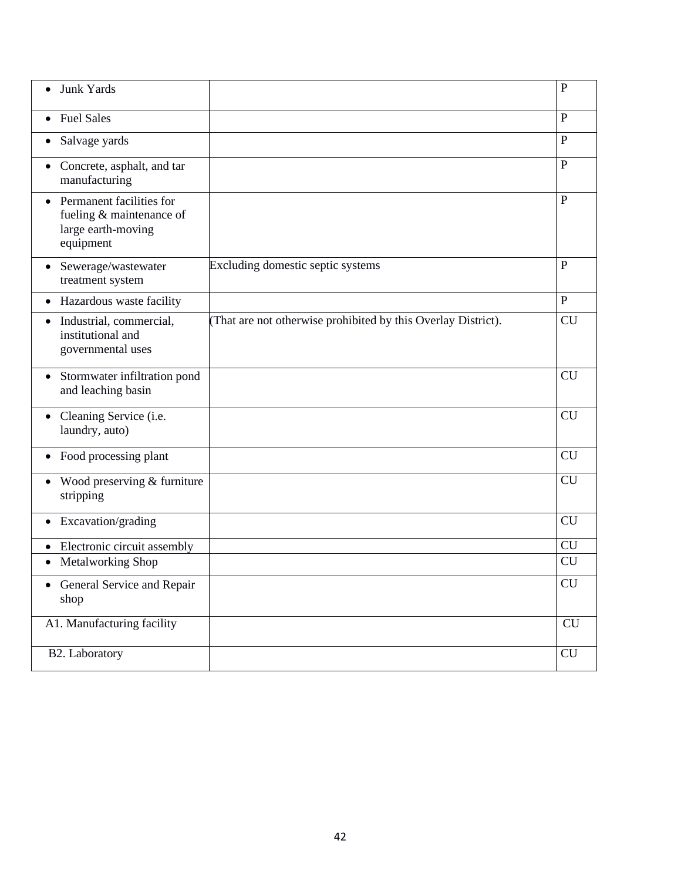| Junk Yards<br>$\bullet$                                                                     |                                                               | $\mathbf{P}$   |
|---------------------------------------------------------------------------------------------|---------------------------------------------------------------|----------------|
| <b>Fuel Sales</b><br>$\bullet$                                                              |                                                               | P              |
| Salvage yards                                                                               |                                                               | $\mathbf{P}$   |
| Concrete, asphalt, and tar<br>manufacturing                                                 |                                                               | $\overline{P}$ |
| • Permanent facilities for<br>fueling $&$ maintenance of<br>large earth-moving<br>equipment |                                                               | $\mathbf{P}$   |
| Sewerage/wastewater<br>treatment system                                                     | Excluding domestic septic systems                             | $\mathbf{P}$   |
| Hazardous waste facility                                                                    |                                                               | $\mathbf{P}$   |
| Industrial, commercial,<br>٠<br>institutional and<br>governmental uses                      | (That are not otherwise prohibited by this Overlay District). | <b>CU</b>      |
| Stormwater infiltration pond<br>$\bullet$<br>and leaching basin                             |                                                               | <b>CU</b>      |
| • Cleaning Service (i.e.<br>laundry, auto)                                                  |                                                               | <b>CU</b>      |
| • Food processing plant                                                                     |                                                               | <b>CU</b>      |
| Wood preserving & furniture<br>stripping                                                    |                                                               | <b>CU</b>      |
| Excavation/grading<br>$\bullet$                                                             |                                                               | <b>CU</b>      |
| Electronic circuit assembly                                                                 |                                                               | <b>CU</b>      |
| <b>Metalworking Shop</b><br>٠                                                               |                                                               | <b>CU</b>      |
| General Service and Repair<br>shop                                                          |                                                               | <b>CU</b>      |
| A1. Manufacturing facility                                                                  |                                                               | CU             |
| B <sub>2</sub> . Laboratory                                                                 |                                                               | <b>CU</b>      |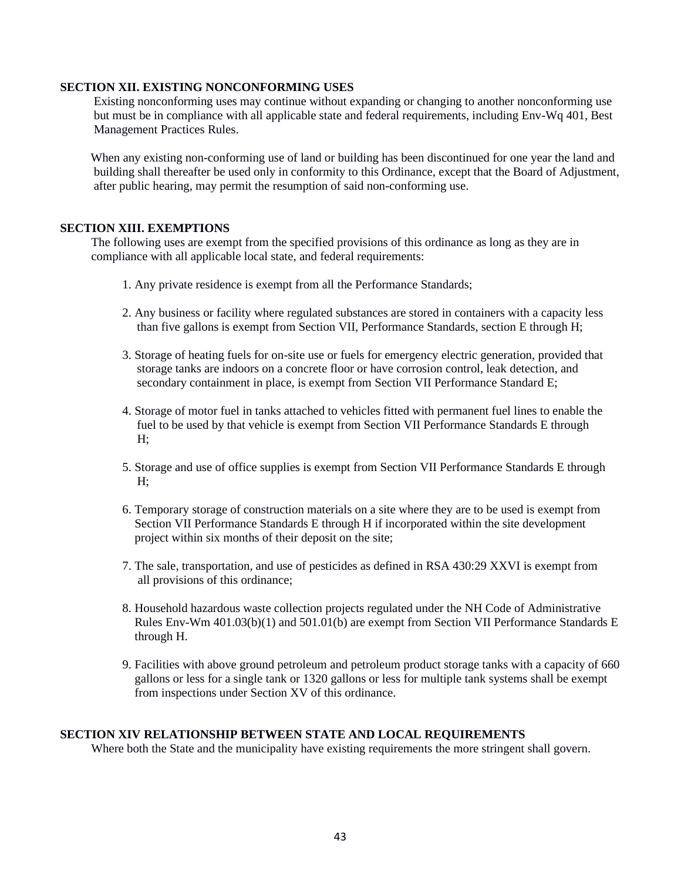### **SECTION XII. EXISTING NONCONFORMING USES**

 Existing nonconforming uses may continue without expanding or changing to another nonconforming use but must be in compliance with all applicable state and federal requirements, including Env-Wq 401, Best Management Practices Rules.

 When any existing non-conforming use of land or building has been discontinued for one year the land and building shall thereafter be used only in conformity to this Ordinance, except that the Board of Adjustment, after public hearing, may permit the resumption of said non-conforming use.

### **SECTION XIII. EXEMPTIONS**

The following uses are exempt from the specified provisions of this ordinance as long as they are in compliance with all applicable local state, and federal requirements:

- 1. Any private residence is exempt from all the Performance Standards;
- 2. Any business or facility where regulated substances are stored in containers with a capacity less than five gallons is exempt from Section VII, Performance Standards, section E through H;
- 3. Storage of heating fuels for on-site use or fuels for emergency electric generation, provided that storage tanks are indoors on a concrete floor or have corrosion control, leak detection, and secondary containment in place, is exempt from Section VII Performance Standard E;
- 4. Storage of motor fuel in tanks attached to vehicles fitted with permanent fuel lines to enable the fuel to be used by that vehicle is exempt from Section VII Performance Standards E through H;
- 5. Storage and use of office supplies is exempt from Section VII Performance Standards E through H;
- 6. Temporary storage of construction materials on a site where they are to be used is exempt from Section VII Performance Standards E through H if incorporated within the site development project within six months of their deposit on the site;
- 7. The sale, transportation, and use of pesticides as defined in RSA 430:29 XXVI is exempt from all provisions of this ordinance;
- 8. Household hazardous waste collection projects regulated under the NH Code of Administrative Rules Env-Wm 401.03(b)(1) and 501.01(b) are exempt from Section VII Performance Standards E through H.
- 9. Facilities with above ground petroleum and petroleum product storage tanks with a capacity of 660 gallons or less for a single tank or 1320 gallons or less for multiple tank systems shall be exempt from inspections under Section XV of this ordinance.

### **SECTION XIV RELATIONSHIP BETWEEN STATE AND LOCAL REQUIREMENTS**

Where both the State and the municipality have existing requirements the more stringent shall govern.